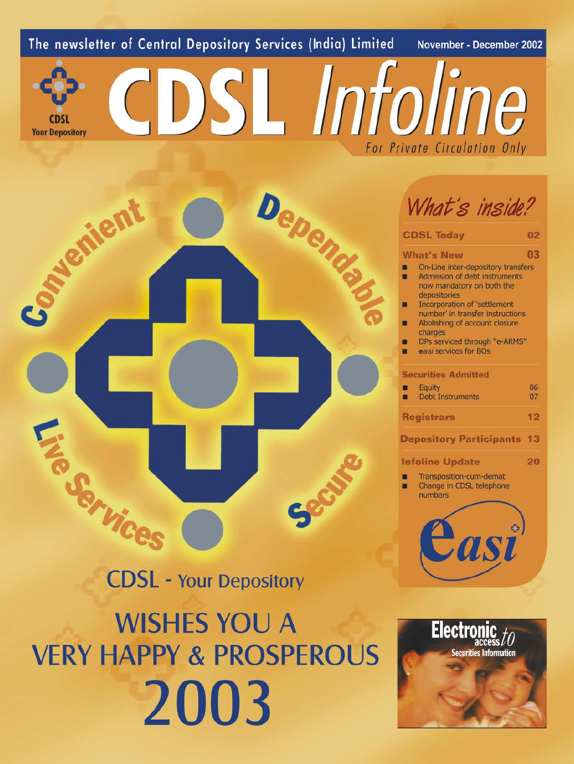# The newsletter of Central Depository Services (India) Limited

November - December 2002

**Your Depository** 

CDSL Infoline For Private Circulation Only

# Depender Avenient Track Mices

# **CDSL - Your Depository**

**WISHES YOU A VERY HAPPY & PROSPEROUS** 2003

What's inside?

| <b>CDSL Today</b>                                                                                                                                                                                                     | 02       |
|-----------------------------------------------------------------------------------------------------------------------------------------------------------------------------------------------------------------------|----------|
| <b>What's New</b>                                                                                                                                                                                                     | 03       |
| On-Line inter-depository transfers<br>Admission of debt instruments<br>now mandatory on both the<br>depositories<br>Incorporation of 'settlement<br>number' in transfer instructions<br>Abolishing of account closure |          |
| DPs serviced through "e-ARMS"<br>easi services for BOs                                                                                                                                                                |          |
| <b>Securities Admitted</b>                                                                                                                                                                                            |          |
| <b>Equity</b><br><b>Debt Instruments</b>                                                                                                                                                                              | 06<br>07 |
| <b>Registrars</b>                                                                                                                                                                                                     | 12       |
| <b>Depository Participants</b>                                                                                                                                                                                        | 13       |
| <b>Infoline Update</b>                                                                                                                                                                                                | 20       |
| Transposition-cum-demat<br>Change in CDSL telephone<br>numbers                                                                                                                                                        |          |
|                                                                                                                                                                                                                       |          |
|                                                                                                                                                                                                                       | charges  |

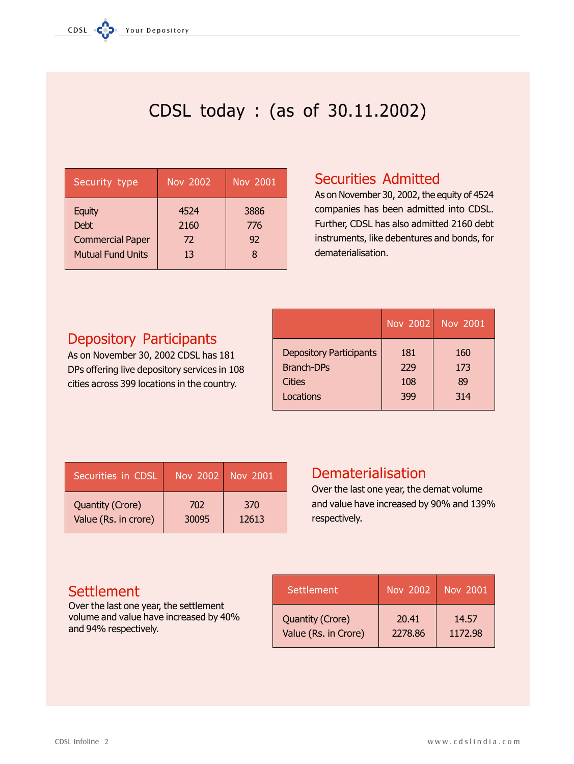# CDSL today : (as of 30.11.2002)

| Security type                                                                       | Nov 2002                 | Nov 2001          |
|-------------------------------------------------------------------------------------|--------------------------|-------------------|
| <b>Equity</b><br><b>Debt</b><br><b>Commercial Paper</b><br><b>Mutual Fund Units</b> | 4524<br>2160<br>72<br>13 | 3886<br>776<br>92 |

# **Securities Admitted**

As on November 30, 2002, the equity of 4524 companies has been admitted into CDSL. Further, CDSL has also admitted 2160 debt instruments, like debentures and bonds, for dematerialisation.

# **Depository Participants**

As on November 30, 2002 CDSL has 181 DPs offering live depository services in 108 cities across 399 locations in the country.

|                                | Nov 2002 | <b>Nov 2001</b> |
|--------------------------------|----------|-----------------|
| <b>Depository Participants</b> | 181      | 160             |
| <b>Branch-DPs</b>              | 229      | 173             |
| Cities                         | 108      | 89              |
| Locations                      | 399      | 314             |

| Securities in CDSL      |       | Nov 2002 Nov 2001 |
|-------------------------|-------|-------------------|
| <b>Quantity (Crore)</b> | 702   | 370               |
| Value (Rs. in crore)    | 30095 | 12613             |

# **Dematerialisation**

Over the last one year, the demat volume and value have increased by 90% and 139% respectively.

# **Settlement**

Over the last one year, the settlement volume and value have increased by 40% and 94% respectively.

| <b>Settlement</b>       | Nov 2002 | <b>Nov 2001</b> |
|-------------------------|----------|-----------------|
| <b>Quantity (Crore)</b> | 20.41    | 14.57           |
| Value (Rs. in Crore)    | 2278.86  | 1172.98         |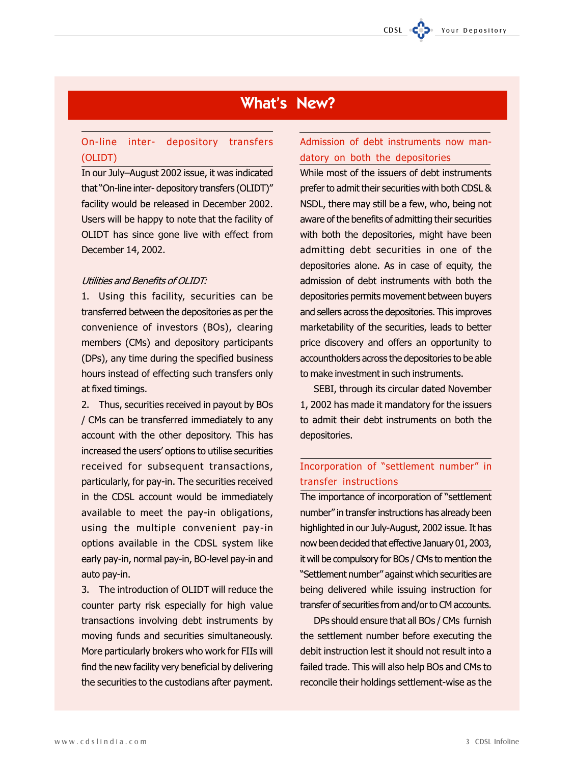# **What's New?**

# On-line inter- depository transfers (OLIDT)

In our July-August 2002 issue, it was indicated that "On-line inter-depository transfers (OLIDT)" facility would be released in December 2002. Users will be happy to note that the facility of OLIDT has since gone live with effect from December 14, 2002.

# Utilities and Benefits of OLIDT:

1. Using this facility, securities can be transferred between the depositories as per the convenience of investors (BOs), clearing members (CMs) and depository participants (DPs), any time during the specified business hours instead of effecting such transfers only at fixed timings.

2. Thus, securities received in payout by BOs / CMs can be transferred immediately to any account with the other depository. This has increased the users' options to utilise securities received for subsequent transactions, particularly, for pay-in. The securities received in the CDSL account would be immediately available to meet the pay-in obligations, using the multiple convenient pay-in options available in the CDSL system like early pay-in, normal pay-in, BO-level pay-in and auto pay-in.

3. The introduction of OLIDT will reduce the counter party risk especially for high value transactions involving debt instruments by moving funds and securities simultaneously. More particularly brokers who work for FIIs will find the new facility very beneficial by delivering the securities to the custodians after payment.

# Admission of debt instruments now mandatory on both the depositories

While most of the issuers of debt instruments prefer to admit their securities with both CDSL & NSDL, there may still be a few, who, being not aware of the benefits of admitting their securities with both the depositories, might have been admitting debt securities in one of the depositories alone. As in case of equity, the admission of debt instruments with both the depositories permits movement between buyers and sellers across the depositories. This improves marketability of the securities, leads to better price discovery and offers an opportunity to accountholders across the depositories to be able to make investment in such instruments.

SEBI, through its circular dated November 1, 2002 has made it mandatory for the issuers to admit their debt instruments on both the depositories.

# Incorporation of "settlement number" in transfer instructions

The importance of incorporation of "settlement" number" in transfer instructions has already been highlighted in our July-August, 2002 issue. It has now been decided that effective January 01, 2003, it will be compulsory for BOs / CMs to mention the "Settlement number" against which securities are being delivered while issuing instruction for transfer of securities from and/or to CM accounts.

DPs should ensure that all BOs / CMs furnish the settlement number before executing the debit instruction lest it should not result into a failed trade. This will also help BOs and CMs to reconcile their holdings settlement-wise as the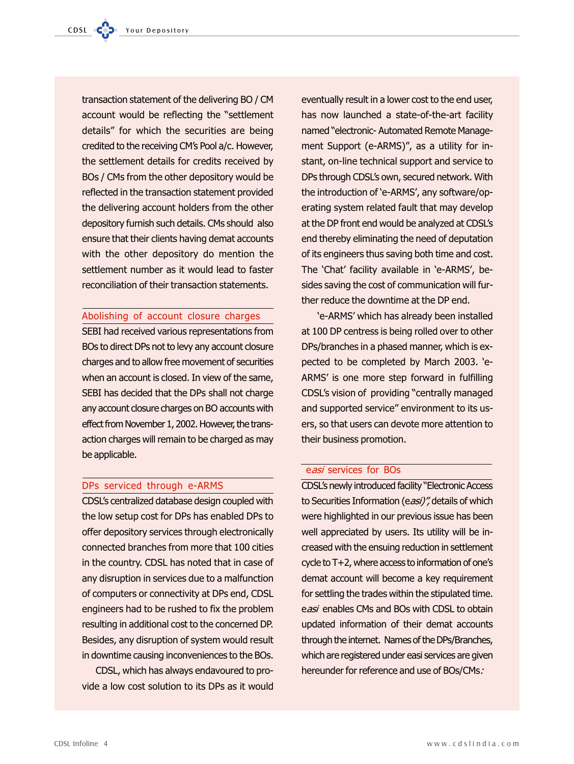transaction statement of the delivering BO / CM account would be reflecting the "settlement" details" for which the securities are being credited to the receiving CM's Pool a/c. However, the settlement details for credits received by BOs / CMs from the other depository would be reflected in the transaction statement provided the delivering account holders from the other depository furnish such details. CMs should also ensure that their clients having demat accounts with the other depository do mention the settlement number as it would lead to faster reconciliation of their transaction statements.

# Abolishing of account closure charges

SEBI had received various representations from BOs to direct DPs not to levy any account closure charges and to allow free movement of securities when an account is closed. In view of the same, SEBI has decided that the DPs shall not charge any account closure charges on BO accounts with effect from November 1, 2002. However, the transaction charges will remain to be charged as may be applicable.

# DPs serviced through e-ARMS

CDSL's centralized database design coupled with the low setup cost for DPs has enabled DPs to offer depository services through electronically connected branches from more that 100 cities in the country. CDSL has noted that in case of any disruption in services due to a malfunction of computers or connectivity at DPs end, CDSL engineers had to be rushed to fix the problem resulting in additional cost to the concerned DP. Besides, any disruption of system would result in downtime causing inconveniences to the BOs.

CDSL, which has always endavoured to provide a low cost solution to its DPs as it would eventually result in a lower cost to the end user, has now launched a state-of-the-art facility named "electronic- Automated Remote Management Support (e-ARMS)", as a utility for instant, on-line technical support and service to DPs through CDSL's own, secured network. With the introduction of 'e-ARMS', any software/operating system related fault that may develop at the DP front end would be analyzed at CDSL's end thereby eliminating the need of deputation of its engineers thus saving both time and cost. The 'Chat' facility available in 'e-ARMS', besides saving the cost of communication will further reduce the downtime at the DP end.

'e-ARMS' which has already been installed at 100 DP centress is being rolled over to other DPs/branches in a phased manner, which is expected to be completed by March 2003. 'e-ARMS' is one more step forward in fulfilling CDSL's vision of providing "centrally managed and supported service" environment to its users, so that users can devote more attention to their business promotion.

# easi services for BOs

CDSL's newly introduced facility "Electronic Access to Securities Information (easi)", details of which were highlighted in our previous issue has been well appreciated by users. Its utility will be increased with the ensuing reduction in settlement cycle to T+2, where access to information of one's demat account will become a key requirement for settling the trades within the stipulated time. easi enables CMs and BOs with CDSL to obtain updated information of their demat accounts through the internet. Names of the DPs/Branches, which are registered under easi services are given hereunder for reference and use of BOs/CMs.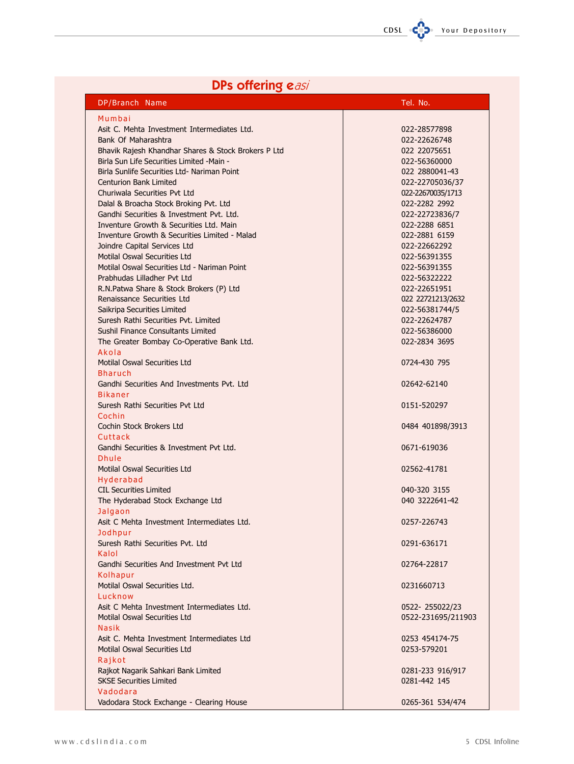# **DPs offering easi**

| DP/Branch Name                                      | Tel. No.           |
|-----------------------------------------------------|--------------------|
| Mumbai                                              |                    |
| Asit C. Mehta Investment Intermediates Ltd.         | 022-28577898       |
| Bank Of Maharashtra                                 | 022-22626748       |
| Bhavik Rajesh Khandhar Shares & Stock Brokers P Ltd | 022 22075651       |
| Birla Sun Life Securities Limited -Main -           | 022-56360000       |
| Birla Sunlife Securities Ltd- Nariman Point         | 022 2880041-43     |
| <b>Centurion Bank Limited</b>                       | 022-22705036/37    |
| Churiwala Securities Pyt Ltd                        | 022-22670035/1713  |
| Dalal & Broacha Stock Broking Pvt. Ltd              | 022-2282 2992      |
| Gandhi Securities & Investment Pvt. Ltd.            | 022-22723836/7     |
|                                                     |                    |
| Inventure Growth & Securities Ltd. Main             | 022-2288 6851      |
| Inventure Growth & Securities Limited - Malad       | 022-2881 6159      |
| Joindre Capital Services Ltd                        | 022-22662292       |
| <b>Motilal Oswal Securities Ltd</b>                 | 022-56391355       |
| Motilal Oswal Securities Ltd - Nariman Point        | 022-56391355       |
| Prabhudas Lilladher Pyt Ltd                         | 022-56322222       |
| R.N.Patwa Share & Stock Brokers (P) Ltd             | 022-22651951       |
| Renaissance Securities Ltd                          | 022 22721213/2632  |
| Saikripa Securities Limited                         | 022-56381744/5     |
| Suresh Rathi Securities Pvt. Limited                | 022-22624787       |
| <b>Sushil Finance Consultants Limited</b>           | 022-56386000       |
| The Greater Bombay Co-Operative Bank Ltd.           | 022-2834 3695      |
| Akola                                               |                    |
| <b>Motilal Oswal Securities Ltd</b>                 | 0724-430 795       |
| <b>Bharuch</b>                                      |                    |
| Gandhi Securities And Investments Pvt. Ltd          | 02642-62140        |
| <b>Bikaner</b>                                      |                    |
| Suresh Rathi Securities Pvt Ltd                     |                    |
|                                                     | 0151-520297        |
| Cochin                                              |                    |
| Cochin Stock Brokers Ltd                            | 0484 401898/3913   |
| Cuttack                                             |                    |
| Gandhi Securities & Investment Pyt Ltd.             | 0671-619036        |
| <b>Dhule</b>                                        |                    |
| Motilal Oswal Securities Ltd                        | 02562-41781        |
| Hyderabad                                           |                    |
| <b>CIL Securities Limited</b>                       | 040-320 3155       |
| The Hyderabad Stock Exchange Ltd                    | 040 3222641-42     |
| Jalgaon                                             |                    |
| Asit C Mehta Investment Intermediates Ltd.          | 0257-226743        |
| Jodhpur                                             |                    |
| Suresh Rathi Securities Pvt. Ltd                    | 0291-636171        |
| Kalol                                               |                    |
| Gandhi Securities And Investment Pvt Ltd            | 02764-22817        |
| Kolhapur                                            |                    |
| Motilal Oswal Securities Ltd.                       | 0231660713         |
| Lucknow                                             |                    |
| Asit C Mehta Investment Intermediates Ltd.          | 0522-255022/23     |
|                                                     |                    |
| <b>Motilal Oswal Securities Ltd</b>                 | 0522-231695/211903 |
| <b>Nasik</b>                                        |                    |
| Asit C. Mehta Investment Intermediates Ltd          | 0253 454174-75     |
| Motilal Oswal Securities Ltd                        | 0253-579201        |
| Rajkot                                              |                    |
| Rajkot Nagarik Sahkari Bank Limited                 | 0281-233 916/917   |
| <b>SKSE Securities Limited</b>                      | 0281-442 145       |
| Vadodara                                            |                    |
| Vadodara Stock Exchange - Clearing House            | 0265-361 534/474   |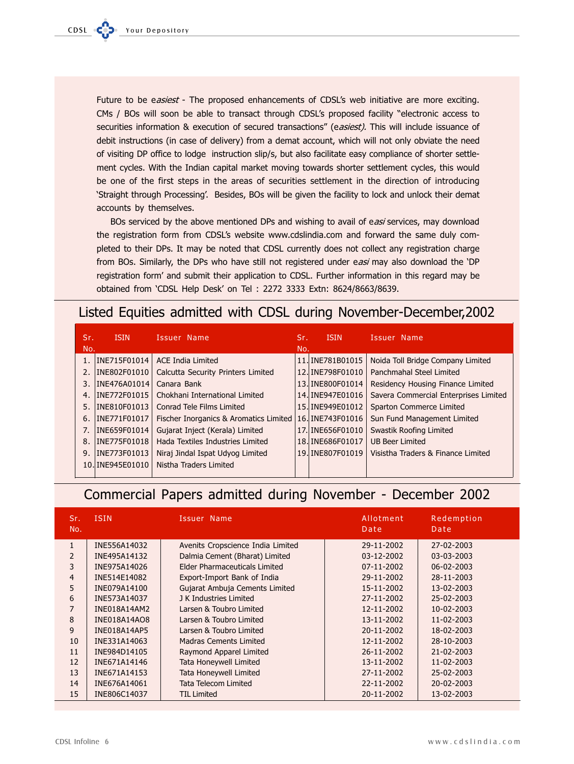Future to be easiest - The proposed enhancements of CDSL's web initiative are more exciting. CMs / BOs will soon be able to transact through CDSL's proposed facility "electronic access to securities information & execution of secured transactions" (easiest). This will include issuance of debit instructions (in case of delivery) from a demat account, which will not only obviate the need of visiting DP office to lodge instruction slip/s, but also facilitate easy compliance of shorter settlement cycles. With the Indian capital market moving towards shorter settlement cycles, this would be one of the first steps in the areas of securities settlement in the direction of introducing 'Straight through Processing'. Besides, BOs will be given the facility to lock and unlock their demat accounts by themselves.

BOs serviced by the above mentioned DPs and wishing to avail of easi services, may download the registration form from CDSL's website www.cdslindia.com and forward the same duly completed to their DPs. It may be noted that CDSL currently does not collect any registration charge from BOs. Similarly, the DPs who have still not registered under easi may also download the 'DP registration form' and submit their application to CDSL. Further information in this regard may be obtained from 'CDSL Help Desk' on Tel : 2272 3333 Extn: 8624/8663/8639.

# Listed Equities admitted with CDSL during November-December, 2002

| Sr.<br>No. | <b>ISIN</b>      | Issuer Name                            | Sr.<br>No. | <b>ISIN</b>      | Issuer Name                           |
|------------|------------------|----------------------------------------|------------|------------------|---------------------------------------|
|            | INE715F01014     | <b>ACE India Limited</b>               |            | 11. INE781B01015 | Noida Toll Bridge Company Limited     |
| 2.         | INE802F01010     | Calcutta Security Printers Limited     |            | 12. INE798F01010 | Panchmahal Steel Limited              |
| 3.         | INE476A01014     | Canara Bank                            |            | 13. INE800F01014 | Residency Housing Finance Limited     |
| 4.         | INE772F01015     | Chokhani International Limited         |            | 14. INE947E01016 | Savera Commercial Enterprises Limited |
| 5.         | INE810F01013     | Conrad Tele Films Limited              |            | 15. INE949E01012 | Sparton Commerce Limited              |
| 6.         | INE771F01017     | Fischer Inorganics & Aromatics Limited |            | 16. INE743F01016 | Sun Fund Management Limited           |
| 7.         | INE659F01014     | Gujarat Inject (Kerala) Limited        |            | 17. INE656F01010 | Swastik Roofing Limited               |
| 8.         | INE775F01018     | Hada Textiles Industries Limited       |            | 18. INE686F01017 | <b>UB Beer Limited</b>                |
| 9.         | INE773F01013     | Niraj Jindal Ispat Udyog Limited       |            | 19. INE807F01019 | Visistha Traders & Finance Limited    |
|            | 10. INE945E01010 | Nistha Traders Limited                 |            |                  |                                       |
|            |                  |                                        |            |                  |                                       |

# Commercial Papers admitted during November - December 2002

| Sr.<br>No.     | <b>ISIN</b>  | Issuer Name                       | Allotment<br>Date | Redemption<br>Date |
|----------------|--------------|-----------------------------------|-------------------|--------------------|
| $\mathbf{1}$   | INE556A14032 | Avenits Cropscience India Limited | 29-11-2002        | 27-02-2003         |
| 2              | INE495A14132 | Dalmia Cement (Bharat) Limited    | 03-12-2002        | 03-03-2003         |
| 3              | INE975A14026 | Elder Pharmaceuticals Limited     | 07-11-2002        | 06-02-2003         |
| $\overline{4}$ | INE514E14082 | Export-Import Bank of India       | 29-11-2002        | 28-11-2003         |
| 5              | INE079A14100 | Gujarat Ambuja Cements Limited    | 15-11-2002        | 13-02-2003         |
| 6              | INE573A14037 | J K Industries Limited            | 27-11-2002        | 25-02-2003         |
| $\overline{7}$ | INE018A14AM2 | Larsen & Toubro Limited           | 12-11-2002        | 10-02-2003         |
| 8              | INE018A14AO8 | Larsen & Toubro Limited           | 13-11-2002        | 11-02-2003         |
| 9              | INE018A14AP5 | Larsen & Toubro Limited           | 20-11-2002        | 18-02-2003         |
| 10             | INE331A14063 | Madras Cements Limited            | 12-11-2002        | 28-10-2003         |
| 11             | INE984D14105 | Raymond Apparel Limited           | 26-11-2002        | 21-02-2003         |
| 12             | INE671A14146 | <b>Tata Honeywell Limited</b>     | 13-11-2002        | 11-02-2003         |
| 13             | INE671A14153 | <b>Tata Honeywell Limited</b>     | 27-11-2002        | 25-02-2003         |
| 14             | INE676A14061 | <b>Tata Telecom Limited</b>       | 22-11-2002        | 20-02-2003         |
| 15             | INE806C14037 | TIL Limited                       | 20-11-2002        | 13-02-2003         |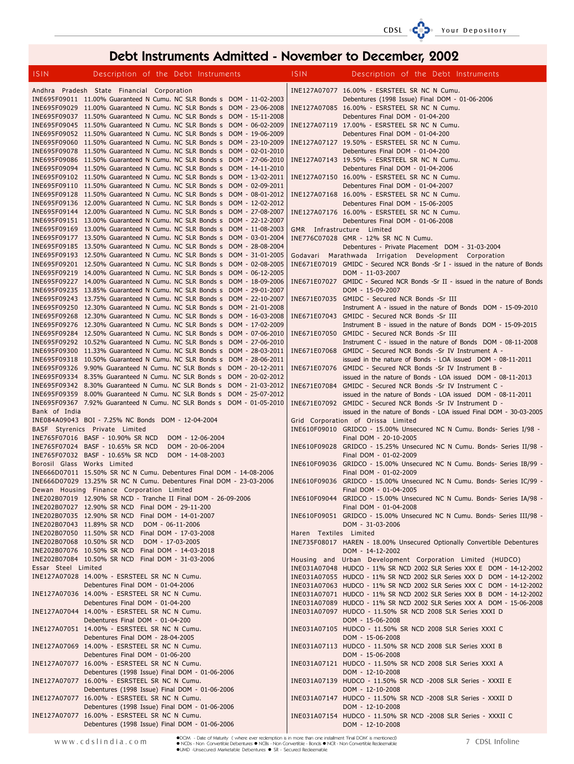# CDSL

# Debt Instruments Admitted - November to December, 2002

| <b>ISIN</b>         | Description of the Debt Instruments                                                                                                              |                  |  | <b>ISIN</b>            | Description of the Debt Instruments                                                                                                              |
|---------------------|--------------------------------------------------------------------------------------------------------------------------------------------------|------------------|--|------------------------|--------------------------------------------------------------------------------------------------------------------------------------------------|
|                     | Andhra Pradesh State Financial Corporation                                                                                                       |                  |  |                        | INE127A07077 16.00% - ESRSTEEL SR NC N Cumu.                                                                                                     |
|                     | INE695F09011 11.00% Guaranteed N Cumu. NC SLR Bonds s DOM - 11-02-2003                                                                           |                  |  |                        | Debentures (1998 Issue) Final DOM - 01-06-2006                                                                                                   |
|                     | INE695F09029 11.00% Guaranteed N Cumu. NC SLR Bonds s DOM - 23-06-2008                                                                           |                  |  |                        | INE127A07085 16.00% - ESRSTEEL SR NC N Cumu.                                                                                                     |
|                     | INE695F09037 11.50% Guaranteed N Cumu. NC SLR Bonds s DOM - 15-11-2008                                                                           |                  |  |                        | Debentures Final DOM - 01-04-200                                                                                                                 |
|                     | INE695F09045 11.50% Guaranteed N Cumu. NC SLR Bonds s DOM - 06-02-2009<br>INE695F09052 11.50% Guaranteed N Cumu. NC SLR Bonds s DOM - 19-06-2009 |                  |  |                        | INE127A07119 17.00% - ESRSTEEL SR NC N Cumu.<br>Debentures Final DOM - 01-04-200                                                                 |
|                     | INE695F09060 11.50% Guaranteed N Cumu. NC SLR Bonds s DOM - 23-10-2009                                                                           |                  |  |                        | INE127A07127 19.50% - ESRSTEEL SR NC N Cumu.                                                                                                     |
|                     | INE695F09078 11.50% Guaranteed N Cumu. NC SLR Bonds s DOM - 02-01-2010                                                                           |                  |  |                        | Debentures Final DOM - 01-04-200                                                                                                                 |
|                     | INE695F09086 11.50% Guaranteed N Cumu. NC SLR Bonds s DOM - 27-06-2010                                                                           |                  |  |                        | INE127A07143 19.50% - ESRSTEEL SR NC N Cumu.                                                                                                     |
|                     | INE695F09094 11.50% Guaranteed N Cumu. NC SLR Bonds s DOM - 14-11-2010                                                                           |                  |  |                        | Debentures Final DOM - 01-04-2006                                                                                                                |
|                     | INE695F09102 11.50% Guaranteed N Cumu. NC SLR Bonds s DOM - 13-02-2011                                                                           |                  |  |                        | INE127A07150 16.00% - ESRSTEEL SR NC N Cumu.                                                                                                     |
|                     | INE695F09110 11.50% Guaranteed N Cumu. NC SLR Bonds s DOM - 02-09-2011<br>INE695F09128 11.50% Guaranteed N Cumu. NC SLR Bonds s DOM - 08-01-2012 |                  |  |                        | Debentures Final DOM - 01-04-2007<br>INE127A07168 16.00% - ESRSTEEL SR NC N Cumu.                                                                |
|                     | INE695F09136 12.00% Guaranteed N Cumu. NC SLR Bonds s DOM - 12-02-2012                                                                           |                  |  |                        | Debentures Final DOM - 15-06-2005                                                                                                                |
|                     | INE695F09144 12.00% Guaranteed N Cumu. NC SLR Bonds s DOM - 27-08-2007                                                                           |                  |  |                        | INE127A07176 16.00% - ESRSTEEL SR NC N Cumu.                                                                                                     |
|                     | INE695F09151 13.00% Guaranteed N Cumu. NC SLR Bonds s DOM - 22-12-2007                                                                           |                  |  |                        | Debentures Final DOM - 01-06-2008                                                                                                                |
|                     | INE695F09169 13.00% Guaranteed N Cumu. NC SLR Bonds s DOM - 11-08-2003                                                                           |                  |  |                        | GMR Infrastructure Limited                                                                                                                       |
|                     | INE695F09177 13.50% Guaranteed N Cumu. NC SLR Bonds s DOM - 03-01-2004<br>INE695F09185 13.50% Guaranteed N Cumu. NC SLR Bonds s DOM - 28-08-2004 |                  |  |                        | INE776C07028 GMR - 12% SR NC N Cumu.                                                                                                             |
|                     | INE695F09193 12.50% Guaranteed N Cumu. NC SLR Bonds s DOM - 31-01-2005                                                                           |                  |  |                        | Debentures - Private Placement DOM - 31-03-2004<br>Godavari Marathwada Irrigation Development Corporation                                        |
|                     | INE695F09201 12.50% Guaranteed N Cumu. NC SLR Bonds s DOM - 02-08-2005                                                                           |                  |  |                        | INE671E07019 GMIDC - Secured NCR Bonds -Sr I - issued in the nature of Bonds                                                                     |
|                     | INE695F09219 14.00% Guaranteed N Cumu. NC SLR Bonds s DOM - 06-12-2005                                                                           |                  |  |                        | DOM - 11-03-2007                                                                                                                                 |
|                     | INE695F09227 14.00% Guaranteed N Cumu. NC SLR Bonds s DOM - 18-09-2006                                                                           |                  |  |                        | INE671E07027 GMIDC - Secured NCR Bonds -Sr II - issued in the nature of Bonds                                                                    |
|                     | INE695F09235 13.85% Guaranteed N Cumu. NC SLR Bonds s DOM - 29-01-2007                                                                           |                  |  |                        | DOM - 15-09-2007                                                                                                                                 |
|                     | INE695F09243 13.75% Guaranteed N Cumu. NC SLR Bonds s DOM - 22-10-2007<br>INE695F09250 12.30% Guaranteed N Cumu. NC SLR Bonds s DOM - 21-01-2008 |                  |  |                        | INE671E07035 GMIDC - Secured NCR Bonds -Sr III<br>Instrument A - issued in the nature of Bonds DOM - 15-09-2010                                  |
|                     | INE695F09268 12.30% Guaranteed N Cumu. NC SLR Bonds s DOM - 16-03-2008                                                                           |                  |  |                        | INE671E07043 GMIDC - Secured NCR Bonds -Sr III                                                                                                   |
|                     | INE695F09276 12.30% Guaranteed N Cumu. NC SLR Bonds s DOM - 17-02-2009                                                                           |                  |  |                        | Instrument B - issued in the nature of Bonds DOM - 15-09-2015                                                                                    |
|                     | INE695F09284 12.50% Guaranteed N Cumu. NC SLR Bonds s DOM - 07-06-2010                                                                           |                  |  |                        | INE671E07050 GMIDC - Secured NCR Bonds -Sr III                                                                                                   |
|                     | INE695F09292 10.52% Guaranteed N Cumu. NC SLR Bonds s DOM - 27-06-2010                                                                           |                  |  |                        | Instrument C - issued in the nature of Bonds DOM - 08-11-2008                                                                                    |
|                     | INE695F09300 11.33% Guaranteed N Cumu. NC SLR Bonds s DOM - 28-03-2011                                                                           |                  |  |                        | INE671E07068 GMIDC - Secured NCR Bonds -Sr IV Instrument A -                                                                                     |
|                     | INE695F09318 10.50% Guaranteed N Cumu. NC SLR Bonds s DOM - 28-06-2011<br>INE695F09326 9.90% Guaranteed N Cumu. NC SLR Bonds s DOM - 20-12-2011  |                  |  |                        | issued in the nature of Bonds - LOA issued DOM - 08-11-2011<br>INE671E07076 GMIDC - Secured NCR Bonds -Sr IV Instrument B -                      |
|                     | INE695F09334 8.35% Guaranteed N Cumu. NC SLR Bonds s DOM - 20-02-2012                                                                            |                  |  |                        | issued in the nature of Bonds - LOA issued DOM - 08-11-2013                                                                                      |
|                     | INE695F09342 8.30% Guaranteed N Cumu. NC SLR Bonds s DOM - 21-03-2012                                                                            |                  |  |                        | INE671E07084 GMIDC - Secured NCR Bonds -Sr IV Instrument C -                                                                                     |
|                     | INE695F09359 8.00% Guaranteed N Cumu. NC SLR Bonds s DOM - 25-07-2012                                                                            |                  |  |                        | issued in the nature of Bonds - LOA issued DOM - 08-11-2011                                                                                      |
|                     | INE695F09367 7.92% Guaranteed N Cumu. NC SLR Bonds s DOM - 01-05-2010                                                                            |                  |  |                        | INE671E07092 GMIDC - Secured NCR Bonds -Sr IV Instrument D -                                                                                     |
| Bank of India       | INE084A09043 BOI - 7.25% NC Bonds DOM - 12-04-2004                                                                                               |                  |  |                        | issued in the nature of Bonds - LOA issued Final DOM - 30-03-2005<br>Grid Corporation of Orissa Limited                                          |
|                     | BASF Styrenics Private Limited                                                                                                                   |                  |  |                        | INE610F09010 GRIDCO - 15.00% Unsecured NC N Cumu. Bonds- Series I/98 -                                                                           |
|                     | INE765F07016 BASF - 10.90% SR NCD                                                                                                                | DOM - 12-06-2004 |  |                        | Final DOM - 20-10-2005                                                                                                                           |
|                     | INE765F07024 BASF - 10.65% SR NCD                                                                                                                | DOM - 20-06-2004 |  |                        | INE610F09028 GRIDCO - 15.25% Unsecured NC N Cumu. Bonds- Series II/98 -                                                                          |
|                     | INE765F07032 BASF - 10.65% SR NCD                                                                                                                | DOM - 14-08-2003 |  |                        | Final DOM - 01-02-2009                                                                                                                           |
|                     | Borosil Glass Works Limited                                                                                                                      |                  |  |                        | INE610F09036 GRIDCO - 15.00% Unsecured NC N Cumu. Bonds- Series IB/99 -                                                                          |
|                     | INE666D07011 15.50% SR NC N Cumu. Debentures Final DOM - 14-08-2006<br>INE666D07029 13.25% SR NC N Cumu. Debentures Final DOM - 23-03-2006       |                  |  |                        | Final DOM - 01-02-2009<br>INE610F09036 GRIDCO - 15.00% Unsecured NC N Cumu. Bonds- Series IC/99 -                                                |
|                     | Dewan Housing Finance Corporation Limited                                                                                                        |                  |  |                        | Final DOM - 01-04-2005                                                                                                                           |
|                     | INE202B07019 12.90% SR NCD - Tranche II Final DOM - 26-09-2006                                                                                   |                  |  |                        | INE610F09044 GRIDCO - 15.00% Unsecured NC N Cumu. Bonds- Series IA/98 -                                                                          |
|                     | INE202B07027 12.90% SR NCD Final DOM - 29-11-200                                                                                                 |                  |  |                        | Final DOM - 01-04-2008                                                                                                                           |
|                     | INE202B07035 12.90% SR NCD Final DOM - 14-01-2007                                                                                                |                  |  |                        | INE610F09051 GRIDCO - 15.00% Unsecured NC N Cumu. Bonds- Series III/98 -                                                                         |
|                     | INE202B07043 11.89% SR NCD<br>INE202B07050 11.50% SR NCD Final DOM - 17-03-2008                                                                  | DOM - 06-11-2006 |  | Haren Textiles Limited | DOM - 31-03-2006                                                                                                                                 |
|                     | INE202B07068 10.50% SR NCD                                                                                                                       | DOM - 17-03-2005 |  |                        | INE735F08017 HAREN - 18.00% Unsecured Optionally Convertible Debentures                                                                          |
|                     | INE202B07076 10.50% SR NCD Final DOM - 14-03-2018                                                                                                |                  |  |                        | DOM - 14-12-2002                                                                                                                                 |
|                     | INE202B07084 10.50% SR NCD Final DOM - 31-03-2006                                                                                                |                  |  |                        | Housing and Urban Development Corporation Limited (HUDCO)                                                                                        |
| Essar Steel Limited |                                                                                                                                                  |                  |  |                        | INE031A07048 HUDCO - 11% SR NCD 2002 SLR Series XXX E DOM - 14-12-2002                                                                           |
|                     | INE127A07028 14.00% - ESRSTEEL SR NC N Cumu.                                                                                                     |                  |  |                        | INE031A07055 HUDCO - 11% SR NCD 2002 SLR Series XXX D DOM - 14-12-2002                                                                           |
|                     | Debentures Final DOM - 01-04-2006<br>INE127A07036 14.00% - ESRSTEEL SR NC N Cumu.                                                                |                  |  |                        | INE031A07063 HUDCO - 11% SR NCD 2002 SLR Series XXX C DOM - 14-12-2002<br>INE031A07071 HUDCO - 11% SR NCD 2002 SLR Series XXX B DOM - 14-12-2002 |
|                     | Debentures Final DOM - 01-04-200                                                                                                                 |                  |  |                        | INE031A07089 HUDCO - 11% SR NCD 2002 SLR Series XXX A DOM - 15-06-2008                                                                           |
|                     | INE127A07044 14.00% - ESRSTEEL SR NC N Cumu.                                                                                                     |                  |  |                        | INE031A07097 HUDCO - 11.50% SR NCD 2008 SLR Series XXXI D                                                                                        |
|                     | Debentures Final DOM - 01-04-200                                                                                                                 |                  |  |                        | DOM - 15-06-2008                                                                                                                                 |
|                     | INE127A07051 14.00% - ESRSTEEL SR NC N Cumu.                                                                                                     |                  |  |                        | INE031A07105 HUDCO - 11.50% SR NCD 2008 SLR Series XXXI C                                                                                        |
|                     | Debentures Final DOM - 28-04-2005<br>INE127A07069 14.00% - ESRSTEEL SR NC N Cumu.                                                                |                  |  |                        | DOM - 15-06-2008<br>INE031A07113 HUDCO - 11.50% SR NCD 2008 SLR Series XXXI B                                                                    |
|                     | Debentures Final DOM - 01-06-200                                                                                                                 |                  |  |                        | DOM - 15-06-2008                                                                                                                                 |
|                     | INE127A07077 16.00% - ESRSTEEL SR NC N Cumu.                                                                                                     |                  |  |                        | INE031A07121 HUDCO - 11.50% SR NCD 2008 SLR Series XXXI A                                                                                        |
|                     | Debentures (1998 Issue) Final DOM - 01-06-2006                                                                                                   |                  |  |                        | DOM - 12-10-2008                                                                                                                                 |
|                     | INE127A07077 16.00% - ESRSTEEL SR NC N Cumu.                                                                                                     |                  |  |                        | INE031A07139 HUDCO - 11.50% SR NCD -2008 SLR Series - XXXII E                                                                                    |
|                     | Debentures (1998 Issue) Final DOM - 01-06-2006                                                                                                   |                  |  |                        | DOM - 12-10-2008                                                                                                                                 |
|                     | INE127A07077 16.00% - ESRSTEEL SR NC N Cumu.<br>Debentures (1998 Issue) Final DOM - 01-06-2006                                                   |                  |  |                        | INE031A07147 HUDCO - 11.50% SR NCD -2008 SLR Series - XXXII D<br>DOM - 12-10-2008                                                                |
|                     | INE127A07077 16.00% - ESRSTEEL SR NC N Cumu.                                                                                                     |                  |  |                        | INE031A07154 HUDCO - 11.50% SR NCD -2008 SLR Series - XXXII C                                                                                    |
|                     | Debentures (1998 Issue) Final DOM - 01-06-2006                                                                                                   |                  |  |                        | DOM - 12-10-2008                                                                                                                                 |

●DOM - Date of Maturity ( where ever redemption is in more than one installment 'Final DOM' is mentioned)<br>● NCDs - Non Convertible Debentures ● NCBs - Non Convertible - Bonds ● NCR - Non Convertible Redeemable<br>●UMD -Unsec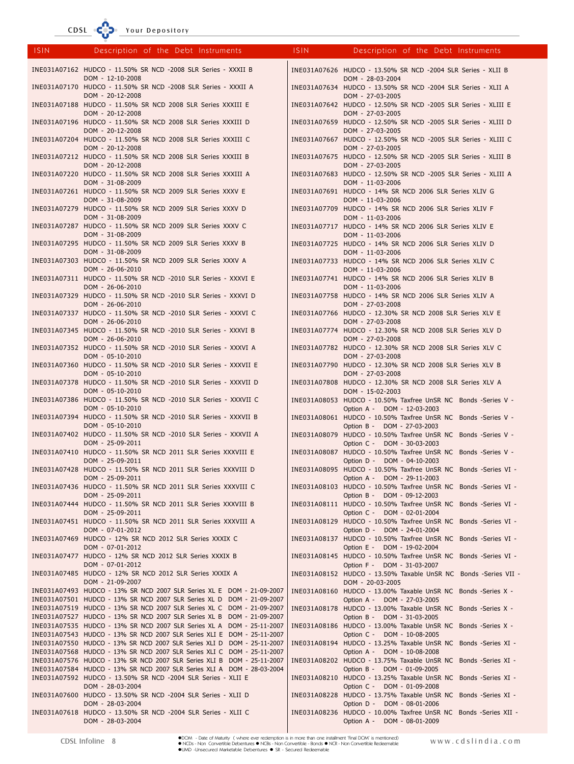CDSL <sup>o</sup>

ur Depository

| <b>ISIN</b> | Description of the Debt Instruments                                                                                                                  | ISIN. | Description of the Debt Instruments                                                                                                                           |
|-------------|------------------------------------------------------------------------------------------------------------------------------------------------------|-------|---------------------------------------------------------------------------------------------------------------------------------------------------------------|
|             | INE031A07162 HUDCO - 11.50% SR NCD -2008 SLR Series - XXXII B                                                                                        |       | INE031A07626 HUDCO - 13.50% SR NCD -2004 SLR Series - XLII B<br>DOM - 28-03-2004                                                                              |
|             | DOM - 12-10-2008<br>INE031A07170 HUDCO - 11.50% SR NCD -2008 SLR Series - XXXII A<br>DOM - 20-12-2008                                                |       | INE031A07634 HUDCO - 13.50% SR NCD -2004 SLR Series - XLII A                                                                                                  |
|             | INE031A07188 HUDCO - 11.50% SR NCD 2008 SLR Series XXXIII E                                                                                          |       | DOM - 27-03-2005<br>INE031A07642 HUDCO - 12.50% SR NCD -2005 SLR Series - XLIII E                                                                             |
|             | DOM - 20-12-2008<br>INE031A07196 HUDCO - 11.50% SR NCD 2008 SLR Series XXXIII D                                                                      |       | DOM - 27-03-2005<br>INE031A07659 HUDCO - 12.50% SR NCD -2005 SLR Series - XLIII D                                                                             |
|             | DOM - 20-12-2008<br>INE031A07204 HUDCO - 11.50% SR NCD 2008 SLR Series XXXIII C                                                                      |       | DOM - 27-03-2005<br>INE031A07667 HUDCO - 12.50% SR NCD -2005 SLR Series - XLIII C                                                                             |
|             | DOM - 20-12-2008<br>INE031A07212 HUDCO - 11.50% SR NCD 2008 SLR Series XXXIII B<br>DOM - 20-12-2008                                                  |       | DOM - 27-03-2005<br>INE031A07675 HUDCO - 12.50% SR NCD -2005 SLR Series - XLIII B<br>DOM - 27-03-2005                                                         |
|             | INE031A07220 HUDCO - 11.50% SR NCD 2008 SLR Series XXXIII A<br>DOM - 31-08-2009                                                                      |       | INE031A07683 HUDCO - 12.50% SR NCD -2005 SLR Series - XLIII A<br>DOM - 11-03-2006                                                                             |
|             | INE031A07261 HUDCO - 11.50% SR NCD 2009 SLR Series XXXV E<br>DOM - 31-08-2009                                                                        |       | INE031A07691 HUDCO - 14% SR NCD 2006 SLR Series XLIV G<br>DOM - 11-03-2006                                                                                    |
|             | INE031A07279 HUDCO - 11.50% SR NCD 2009 SLR Series XXXV D<br>DOM - 31-08-2009                                                                        |       | INE031A07709 HUDCO - 14% SR NCD 2006 SLR Series XLIV F<br>DOM - 11-03-2006                                                                                    |
|             | INE031A07287 HUDCO - 11.50% SR NCD 2009 SLR Series XXXV C<br>DOM - 31-08-2009                                                                        |       | INE031A07717 HUDCO - 14% SR NCD 2006 SLR Series XLIV E<br>DOM - 11-03-2006                                                                                    |
|             | INE031A07295 HUDCO - 11.50% SR NCD 2009 SLR Series XXXV B<br>DOM - 31-08-2009                                                                        |       | INE031A07725 HUDCO - 14% SR NCD 2006 SLR Series XLIV D<br>DOM - 11-03-2006                                                                                    |
|             | INE031A07303 HUDCO - 11.50% SR NCD 2009 SLR Series XXXV A<br>DOM - 26-06-2010                                                                        |       | INE031A07733 HUDCO - 14% SR NCD 2006 SLR Series XLIV C<br>DOM - 11-03-2006                                                                                    |
|             | INE031A07311 HUDCO - 11.50% SR NCD -2010 SLR Series - XXXVI E<br>DOM - 26-06-2010                                                                    |       | INE031A07741 HUDCO - 14% SR NCD 2006 SLR Series XLIV B<br>DOM - 11-03-2006                                                                                    |
|             | INE031A07329 HUDCO - 11.50% SR NCD -2010 SLR Series - XXXVI D<br>DOM - 26-06-2010                                                                    |       | INE031A07758 HUDCO - 14% SR NCD 2006 SLR Series XLIV A<br>DOM - 27-03-2008                                                                                    |
|             | INE031A07337 HUDCO - 11.50% SR NCD -2010 SLR Series - XXXVI C<br>DOM - 26-06-2010                                                                    |       | INE031A07766 HUDCO - 12.30% SR NCD 2008 SLR Series XLV E<br>DOM - 27-03-2008                                                                                  |
|             | INE031A07345 HUDCO - 11.50% SR NCD -2010 SLR Series - XXXVI B<br>DOM - 26-06-2010                                                                    |       | INE031A07774 HUDCO - 12.30% SR NCD 2008 SLR Series XLV D<br>DOM - 27-03-2008                                                                                  |
|             | INE031A07352 HUDCO - 11.50% SR NCD -2010 SLR Series - XXXVI A<br>DOM - 05-10-2010                                                                    |       | INE031A07782 HUDCO - 12.30% SR NCD 2008 SLR Series XLV C<br>DOM - 27-03-2008                                                                                  |
|             | INE031A07360 HUDCO - 11.50% SR NCD -2010 SLR Series - XXXVII E<br>DOM - 05-10-2010                                                                   |       | INE031A07790 HUDCO - 12.30% SR NCD 2008 SLR Series XLV B<br>DOM - 27-03-2008                                                                                  |
|             | INE031A07378 HUDCO - 11.50% SR NCD -2010 SLR Series - XXXVII D<br>DOM - 05-10-2010                                                                   |       | INE031A07808 HUDCO - 12.30% SR NCD 2008 SLR Series XLV A<br>DOM - 15-02-2003                                                                                  |
|             | INE031A07386 HUDCO - 11.50% SR NCD -2010 SLR Series - XXXVII C<br>DOM - 05-10-2010                                                                   |       | INE031A08053 HUDCO - 10.50% Taxfree UnSR NC Bonds -Series V -<br>Option A - DOM - 12-03-2003                                                                  |
|             | INE031A07394 HUDCO - 11.50% SR NCD -2010 SLR Series - XXXVII B<br>DOM - 05-10-2010<br>INE031A07402 HUDCO - 11.50% SR NCD -2010 SLR Series - XXXVII A |       | INE031A08061 HUDCO - 10.50% Taxfree UnSR NC Bonds -Series V -<br>Option B - DOM - 27-03-2003<br>INE031A08079 HUDCO - 10.50% Taxfree UnSR NC Bonds -Series V - |
|             | DOM - 25-09-2011<br>INE031A07410 HUDCO - 11.50% SR NCD 2011 SLR Series XXXVIII E                                                                     |       | Option C - DOM - 30-03-2003<br>INE031A08087 HUDCO - 10.50% Taxfree UnSR NC Bonds -Series V -                                                                  |
|             | DOM - 25-09-2011<br>INE031A07428 HUDCO - 11.50% SR NCD 2011 SLR Series XXXVIII D                                                                     |       | Option D - DOM - 04-10-2003<br>INE031A08095 HUDCO - 10.50% Taxfree UnSR NC Bonds -Series VI -                                                                 |
|             | DOM - 25-09-2011<br>INE031A07436 HUDCO - 11.50% SR NCD 2011 SLR Series XXXVIII C                                                                     |       | Option A - DOM - 29-11-2003<br>INE031A08103 HUDCO - 10.50% Taxfree UnSR NC Bonds -Series VI -                                                                 |
|             | DOM - 25-09-2011<br>INE031A07444 HUDCO - 11.50% SR NCD 2011 SLR Series XXXVIII B                                                                     |       | Option B - DOM - 09-12-2003<br>INE031A08111 HUDCO - 10.50% Taxfree UnSR NC Bonds -Series VI -                                                                 |
|             | DOM - 25-09-2011<br>INE031A07451 HUDCO - 11.50% SR NCD 2011 SLR Series XXXVIII A                                                                     |       | Option C - DOM - 02-01-2004<br>INE031A08129 HUDCO - 10.50% Taxfree UnSR NC Bonds -Series VI -                                                                 |
|             | DOM - 07-01-2012<br>INE031A07469 HUDCO - 12% SR NCD 2012 SLR Series XXXIX C                                                                          |       | Option D - DOM - 24-01-2004<br>INE031A08137 HUDCO - 10.50% Taxfree UnSR NC Bonds -Series VI -                                                                 |
|             | DOM - 07-01-2012<br>INE031A07477 HUDCO - 12% SR NCD 2012 SLR Series XXXIX B                                                                          |       | Option E - DOM - 19-02-2004<br>INE031A08145 HUDCO - 10.50% Taxfree UnSR NC Bonds -Series VI -                                                                 |
|             | DOM - 07-01-2012<br>INE031A07485 HUDCO - 12% SR NCD 2012 SLR Series XXXIX A                                                                          |       | Option F - DOM - 31-03-2007<br>INE031A08152 HUDCO - 13.50% Taxable UnSR NC Bonds -Series VII -                                                                |
|             | DOM - 21-09-2007<br>INE031A07493 HUDCO - 13% SR NCD 2007 SLR Series XL E DOM - 21-09-2007                                                            |       | DOM - 20-03-2005<br>INE031A08160 HUDCO - 13.00% Taxable UnSR NC Bonds -Series X -                                                                             |
|             | INE031A07501 HUDCO - 13% SR NCD 2007 SLR Series XL D DOM - 21-09-2007<br>INE031A07519 HUDCO - 13% SR NCD 2007 SLR Series XL C DOM - 21-09-2007       |       | Option A - DOM - 27-03-2005<br>INE031A08178 HUDCO - 13.00% Taxable UnSR NC Bonds -Series X -                                                                  |
|             | INE031A07527 HUDCO - 13% SR NCD 2007 SLR Series XL B DOM - 21-09-2007<br>INE031A07535 HUDCO - 13% SR NCD 2007 SLR Series XL A DOM - 25-11-2007       |       | Option B - DOM - 31-03-2005<br>INE031A08186 HUDCO - 13.00% Taxable UnSR NC Bonds -Series X -                                                                  |
|             | INE031A07543 HUDCO - 13% SR NCD 2007 SLR Series XLI E DOM - 25-11-2007<br>INE031A07550 HUDCO - 13% SR NCD 2007 SLR Series XLI D DOM - 25-11-2007     |       | Option C - DOM - 10-08-2005<br>INE031A08194 HUDCO - 13.25% Taxable UnSR NC Bonds -Series XI -                                                                 |
|             | INE031A07568 HUDCO - 13% SR NCD 2007 SLR Series XLI C DOM - 25-11-2007<br>INE031A07576 HUDCO - 13% SR NCD 2007 SLR Series XLI B DOM - 25-11-2007     |       | Option A - DOM - 10-08-2008<br>INE031A08202 HUDCO - 13.75% Taxable UnSR NC Bonds -Series XI -                                                                 |
|             | INE031A07584 HUDCO - 13% SR NCD 2007 SLR Series XLI A DOM - 28-03-2004<br>INE031A07592 HUDCO - 13.50% SR NCD -2004 SLR Series - XLII E               |       | Option B - DOM - 01-09-2005<br>INE031A08210 HUDCO - 13.25% Taxable UnSR NC Bonds -Series XI -                                                                 |
|             | DOM - 28-03-2004<br>INE031A07600 HUDCO - 13.50% SR NCD -2004 SLR Series - XLII D<br>DOM - 28-03-2004                                                 |       | Option C - DOM - 01-09-2008<br>INE031A08228 HUDCO - 13.75% Taxable UnSR NC Bonds -Series XI -<br>Option D - DOM - 08-01-2006                                  |
|             | INE031A07618 HUDCO - 13.50% SR NCD -2004 SLR Series - XLII C<br>DOM - 28-03-2004                                                                     |       | INE031A08236 HUDCO - 10.00% Taxfree UnSR NC Bonds -Series XII -<br>Option A - DOM - 08-01-2009                                                                |
|             |                                                                                                                                                      |       |                                                                                                                                                               |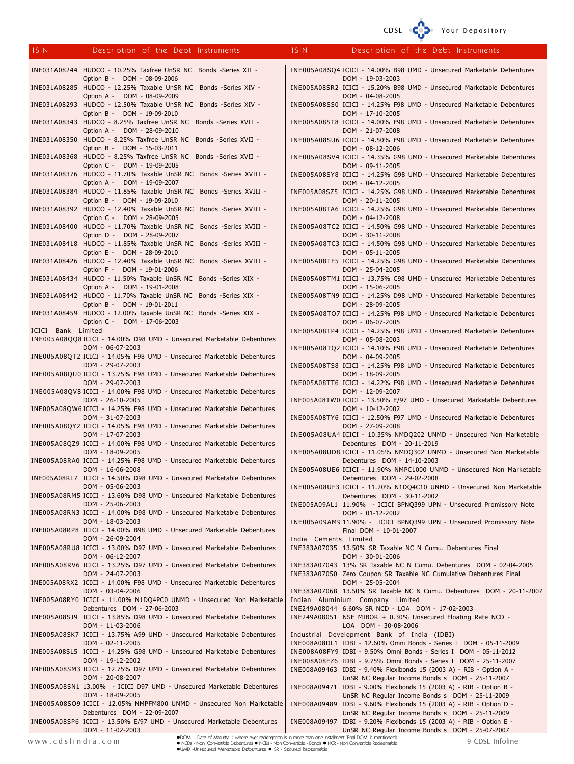# CDSL CODE Your Depository

| <b>ISIN</b>        | Description of the Debt Instruments                                                                                           | <b>ISIN</b>           | Description of the Debt Instruments                                                                                                      |
|--------------------|-------------------------------------------------------------------------------------------------------------------------------|-----------------------|------------------------------------------------------------------------------------------------------------------------------------------|
|                    |                                                                                                                               |                       |                                                                                                                                          |
|                    | INE031A08244 HUDCO - 10.25% Taxfree UnSR NC Bonds -Series XII -                                                               |                       | INE005A08SQ4 ICICI - 14.00% B98 UMD - Unsecured Marketable Debentures                                                                    |
|                    | Option B - DOM - 08-09-2006<br>INE031A08285 HUDCO - 12.25% Taxable UnSR NC Bonds -Series XIV -<br>Option A - DOM - 08-09-2009 |                       | DOM - 19-03-2003<br>INE005A08SR2 ICICI - 15.20% B98 UMD - Unsecured Marketable Debentures                                                |
|                    | INE031A08293 HUDCO - 12.50% Taxable UnSR NC Bonds -Series XIV -                                                               |                       | DOM - 04-08-2005<br>INE005A08SS0 ICICI - 14.25% F98 UMD - Unsecured Marketable Debentures                                                |
|                    | Option B - DOM - 19-09-2010<br>INE031A08343 HUDCO - 8.25% Taxfree UnSR NC Bonds -Series XVII -                                |                       | DOM - 17-10-2005<br>INE005A08ST8 ICICI - 14.00% F98 UMD - Unsecured Marketable Debentures                                                |
|                    | Option A - DOM - 28-09-2010<br>INE031A08350 HUDCO - 8.25% Taxfree UnSR NC Bonds -Series XVII -                                |                       | DOM - 21-07-2008<br>INE005A08SU6 ICICI - 14.50% F98 UMD - Unsecured Marketable Debentures                                                |
|                    | Option B - DOM - 15-03-2011<br>INE031A08368 HUDCO - 8.25% Taxfree UnSR NC Bonds -Series XVII -                                |                       | DOM - 08-12-2006<br>INE005A08SV4 ICICI - 14.35% G98 UMD - Unsecured Marketable Debentures                                                |
|                    | Option C - DOM - 19-09-2005<br>INE031A08376 HUDCO - 11.70% Taxable UnSR NC Bonds -Series XVIII -                              |                       | DOM - 09-11-2005<br>INE005A08SY8 ICICI - 14.25% G98 UMD - Unsecured Marketable Debentures                                                |
|                    | Option A - DOM - 19-09-2007<br>INE031A08384 HUDCO - 11.85% Taxable UnSR NC Bonds -Series XVIII -                              |                       | DOM - 04-12-2005<br>INE005A08SZ5 ICICI - 14.25% G98 UMD - Unsecured Marketable Debentures                                                |
|                    | Option B - DOM - 19-09-2010<br>INE031A08392 HUDCO - 12.40% Taxable UnSR NC Bonds -Series XVIII -                              |                       | DOM - 20-11-2005<br>INE005A08TA6 ICICI - 14.25% G98 UMD - Unsecured Marketable Debentures                                                |
|                    | Option C - DOM - 28-09-2005<br>INE031A08400 HUDCO - 11.70% Taxable UnSR NC Bonds -Series XVIII -                              |                       | DOM - 04-12-2008<br>INE005A08TC2 ICICI - 14.50% G98 UMD - Unsecured Marketable Debentures                                                |
|                    | Option D - DOM - 28-09-2007<br>INE031A08418 HUDCO - 11.85% Taxable UnSR NC Bonds -Series XVIII -                              |                       | DOM - 30-11-2008<br>INE005A08TC3 ICICI - 14.50% G98 UMD - Unsecured Marketable Debentures                                                |
|                    | Option E - DOM - 28-09-2010<br>INE031A08426 HUDCO - 12.40% Taxable UnSR NC Bonds -Series XVIII -                              |                       | DOM - 05-11-2005<br>INE005A08TF5 ICICI - 14.25% G98 UMD - Unsecured Marketable Debentures                                                |
|                    | Option F - DOM - 19-01-2006<br>INE031A08434 HUDCO - 11.50% Taxable UnSR NC Bonds -Series XIX -                                |                       | DOM - 25-04-2005<br>INE005A08TM1 ICICI - 13.75% C98 UMD - Unsecured Marketable Debentures                                                |
|                    | Option A - DOM - 19-01-2008<br>INE031A08442 HUDCO - 11.70% Taxable UnSR NC Bonds -Series XIX -                                |                       | DOM - 15-06-2005<br>INE005A08TN9 ICICI - 14.25% D98 UMD - Unsecured Marketable Debentures                                                |
|                    | Option B - DOM - 19-01-2011<br>INE031A08459 HUDCO - 12.00% Taxable UnSR NC Bonds -Series XIX -                                |                       | DOM - 28-09-2005<br>INE005A08TO7 ICICI - 14.25% F98 UMD - Unsecured Marketable Debentures                                                |
| ICICI Bank Limited | Option C - DOM - 17-06-2003                                                                                                   |                       | DOM - 06-07-2005<br>INE005A08TP4 ICICI - 14.25% F98 UMD - Unsecured Marketable Debentures                                                |
|                    | INE005A08QQ8 ICICI - 14.00% D98 UMD - Unsecured Marketable Debentures<br>DOM - 06-07-2003                                     |                       | DOM - 05-08-2003<br>INE005A08TQ2 ICICI - 14.10% F98 UMD - Unsecured Marketable Debentures                                                |
|                    | INE005A08QT2 ICICI - 14.05% F98 UMD - Unsecured Marketable Debentures<br>DOM - 29-07-2003                                     |                       | DOM - 04-09-2005<br>INE005A08TS8 ICICI - 14.25% F98 UMD - Unsecured Marketable Debentures                                                |
|                    | INE005A08QU0 ICICI - 13.75% F98 UMD - Unsecured Marketable Debentures<br>DOM - 29-07-2003                                     |                       | DOM - 18-09-2005<br>INE005A08TT6 ICICI - 14.22% F98 UMD - Unsecured Marketable Debentures                                                |
|                    | INE005A08QV8 ICICI - 14.00% F98 UMD - Unsecured Marketable Debentures<br>DOM - 26-10-2005                                     |                       | DOM - 12-09-2007<br>INE005A08TW0 ICICI - 13.50% E/97 UMD - Unsecured Marketable Debentures                                               |
|                    | INE005A08QW6 ICICI - 14.25% F98 UMD - Unsecured Marketable Debentures<br>DOM - 31-07-2003                                     |                       | DOM - 10-12-2002<br>INE005A08TY6 ICICI - 12.50% F97 UMD - Unsecured Marketable Debentures                                                |
|                    | INE005A08QY2 ICICI - 14.05% F98 UMD - Unsecured Marketable Debentures<br>DOM - 17-07-2003                                     |                       | DOM - 27-09-2008<br>INE005A08UA4 ICICI - 10.35% NMDQ202 UNMD - Unsecured Non Marketable                                                  |
|                    | INE005A08QZ9 ICICI - 14.00% F98 UMD - Unsecured Marketable Debentures<br>DOM - 18-09-2005                                     |                       | Debentures DOM - 20-11-2019<br>INE005A08UD8 ICICI - 11.05% NMDQ302 UNMD - Unsecured Non Marketable                                       |
|                    | INE005A08RA0 ICICI - 14.25% F98 UMD - Unsecured Marketable Debentures<br>DOM - 16-06-2008                                     |                       | Debentures DOM - 14-10-2003<br>INE005A08UE6 ICICI - 11.90% NMPC1000 UNMD - Unsecured Non Marketable                                      |
|                    | INE005A08RL7 ICICI - 14.50% D98 UMD - Unsecured Marketable Debentures<br>DOM - 05-06-2003                                     |                       | Debentures DOM - 29-02-2008<br>INE005A08UF3 ICICI - 11.20% N1DQ4C10 UNMD - Unsecured Non Marketable                                      |
|                    | INE005A08RM5 ICICI - 13.60% D98 UMD - Unsecured Marketable Debentures<br>DOM - 25-06-2003                                     |                       | Debentures DOM - 30-11-2002<br>INE005A09AL1 11.90% - ICICI BPNQ399 UPN - Unsecured Promissory Note                                       |
|                    | INE005A08RN3 ICICI - 14.00% D98 UMD - Unsecured Marketable Debentures<br>DOM - 18-03-2003                                     |                       | DOM - 01-12-2002<br>INE005A09AM9 11.90% - ICICI BPNQ399 UPN - Unsecured Promissory Note                                                  |
|                    | INE005A08RP8 ICICI - 14.00% B98 UMD - Unsecured Marketable Debentures<br>DOM - 26-09-2004                                     | India Cements Limited | Final DOM - 10-01-2007                                                                                                                   |
|                    | INE005A08RU8 ICICI - 13.00% D97 UMD - Unsecured Marketable Debentures<br>DOM - 06-12-2007                                     |                       | INE383A07035 13.50% SR Taxable NC N Cumu. Debentures Final<br>DOM - 30-01-2006                                                           |
|                    | INE005A08RV6 ICICI - 13.25% D97 UMD - Unsecured Marketable Debentures<br>DOM - 24-07-2003                                     |                       | INE383A07043 13% SR Taxable NC N Cumu. Debentures DOM - 02-04-2005<br>INE383A07050 Zero Coupon SR Taxable NC Cumulative Debentures Final |
|                    | INE005A08RX2 ICICI - 14.00% F98 UMD - Unsecured Marketable Debentures<br>DOM - 03-04-2006                                     |                       | DOM - 25-05-2004<br>INE383A07068 13.50% SR Taxable NC N Cumu. Debentures DOM - 20-11-2007                                                |
|                    | INE005A08RY0 ICICI - 11.00% N1DQ4PC0 UNMD - Unsecured Non Marketable<br>Debentures DOM - 27-06-2003                           |                       | Indian Aluminium Company Limited<br>INE249A08044 6.60% SR NCD - LOA DOM - 17-02-2003                                                     |
|                    | INE005A08SJ9 ICICI - 13.85% D98 UMD - Unsecured Marketable Debentures<br>DOM - 11-03-2006                                     |                       | INE249A08051 NSE MIBOR + 0.30% Unsecured Floating Rate NCD -<br>LOA DOM - 30-08-2006                                                     |
|                    | INE005A08SK7 ICICI - 13.75% A99 UMD - Unsecured Marketable Debentures<br>DOM - 02-11-2005                                     |                       | Industrial Development Bank of India (IDBI)<br>INE008A08DL1 IDBI - 12.60% Omni Bonds - Series I DOM - 05-11-2009                         |
|                    | INE005A08SL5 ICICI - 14.25% G98 UMD - Unsecured Marketable Debentures<br>DOM - 19-12-2002                                     |                       | INE008A08FY9 IDBI - 9.50% Omni Bonds - Series I DOM - 05-11-2012<br>INE008A08FZ6 IDBI - 9.75% Omni Bonds - Series I DOM - 25-11-2007     |
|                    | INE005A08SM3 ICICI - 12.75% D97 UMD - Unsecured Marketable Debentures<br>DOM - 20-08-2007                                     |                       | INE008A09463 IDBI - 9.40% Flexibonds 15 (2003 A) - RIB - Option A -<br>UnSR NC Regular Income Bonds s DOM - 25-11-2007                   |
|                    | INE005A08SN1 13.00% - ICICI D97 UMD - Unsecured Marketable Debentures<br>DOM - 18-09-2005                                     |                       | INE008A09471 IDBI - 9.00% Flexibonds 15 (2003 A) - RIB - Option B -<br>UnSR NC Regular Income Bonds s DOM - 25-11-2009                   |
|                    | INE005A08SO9 ICICI - 12.05% NMPFM800 UNMD - Unsecured Non Marketable<br>Debentures DOM - 22-09-2007                           |                       | INE008A09489 IDBI - 9.60% Flexibonds 15 (2003 A) - RIB - Option D -<br>UnSR NC Regular Income Bonds s DOM - 25-11-2009                   |
|                    | INE005A08SP6 ICICI - 13.50% E/97 UMD - Unsecured Marketable Debentures<br>DOM - 11-02-2003                                    |                       | INE008A09497 IDBI - 9.20% Flexibonds 15 (2003 A) - RIB - Option E -<br>UnSR NC Regular Income Bonds s DOM - 25-07-2007                   |
|                    |                                                                                                                               |                       |                                                                                                                                          |

●DOM - Date of Maturity (where ever redemption is in more than one installment 'Final DOM' is rentioned)<br>● NCDs - Non Convertible Debentures ● NCBs - Non Convertible - Bonds ● NCR - Non Convertible Redeemable<br>●UMD -Unsecu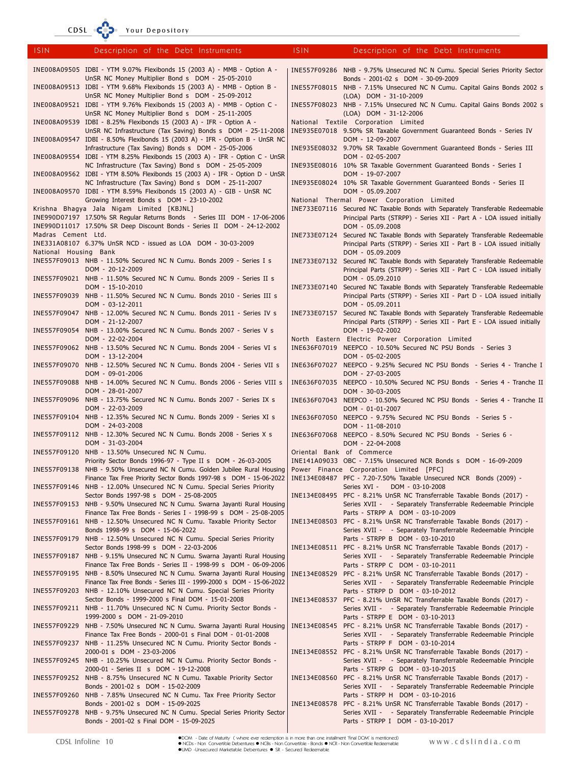CDSL COD Your Depository

| <b>ISIN</b>           | Description of the Debt Instruments                                                                                                              | <b>ISIN</b>  | Description of the Debt Instruments                                                                                                                                       |
|-----------------------|--------------------------------------------------------------------------------------------------------------------------------------------------|--------------|---------------------------------------------------------------------------------------------------------------------------------------------------------------------------|
|                       | INE008A09505 IDBI - YTM 9.07% Flexibonds 15 (2003 A) - MMB - Option A -                                                                          |              | INE557F09286 NHB - 9.75% Unsecured NC N Cumu. Special Series Priority Sector                                                                                              |
|                       | UnSR NC Money Multiplier Bond s DOM - 25-05-2010<br>INE008A09513 IDBI - YTM 9.68% Flexibonds 15 (2003 A) - MMB - Option B -                      |              | Bonds - 2001-02 s DOM - 30-09-2009<br>INE557F08015 NHB - 7.15% Unsecured NC N Cumu. Capital Gains Bonds 2002 s                                                            |
|                       | UnSR NC Money Multiplier Bond s DOM - 25-09-2012<br>INE008A09521 IDBI - YTM 9.76% Flexibonds 15 (2003 A) - MMB - Option C -                      |              | (LOA) DOM - 31-10-2009<br>INE557F08023 NHB - 7.15% Unsecured NC N Cumu. Capital Gains Bonds 2002 s                                                                        |
|                       | UnSR NC Money Multiplier Bond s DOM - 25-11-2005<br>INE008A09539 IDBI - 8.25% Flexibonds 15 (2003 A) - IFR - Option A -                          |              | (LOA) DOM - 31-12-2006<br>National Textile Corporation Limited                                                                                                            |
|                       | UnSR NC Infrastructure (Tax Saving) Bonds s DOM - 25-11-2008<br>INE008A09547 IDBI - 8.50% Flexibonds 15 (2003 A) - IFR - Option B - UnSR NC      |              | INE935E07018 9.50% SR Taxable Government Guaranteed Bonds - Series IV<br>DOM - 12-09-2007                                                                                 |
|                       | Infrastructure (Tax Saving) Bonds s DOM - 25-05-2006<br>INE008A09554 IDBI - YTM 8.25% Flexibonds 15 (2003 A) - IFR - Option C - UnSR             |              | INE935E08032 9.70% SR Taxable Government Guaranteed Bonds - Series III<br>DOM - 02-05-2007                                                                                |
|                       | NC Infrastructure (Tax Saving) Bond s DOM - 25-05-2009<br>INE008A09562 IDBI - YTM 8.50% Flexibonds 15 (2003 A) - IFR - Option D - UnSR           |              | INE935E08016 10% SR Taxable Government Guaranteed Bonds - Series I<br>DOM - 19-07-2007                                                                                    |
|                       | NC Infrastructure (Tax Saving) Bond s DOM - 25-11-2007<br>INE008A09570 IDBI - YTM 8.59% Flexibonds 15 (2003 A) - GIB - UnSR NC                   |              | INE935E08024 10% SR Taxable Government Guaranteed Bonds - Series II<br>DOM - 05.09.2007                                                                                   |
|                       | Growing Interest Bonds s DOM - 23-10-2002<br>Krishna Bhagya Jala Nigam Limited [KBJNL]                                                           |              | National Thermal Power Corporation Limited<br>INE733E07116 Secured NC Taxable Bonds with Separately Transferable Redeemable                                               |
|                       | INE990D07197 17.50% SR Regular Returns Bonds - Series III DOM - 17-06-2006                                                                       |              | Principal Parts (STRPP) - Series XII - Part A - LOA issued initially                                                                                                      |
| Madras Cement Ltd.    | INE990D11017 17.50% SR Deep Discount Bonds - Series II DOM - 24-12-2002                                                                          |              | DOM - 05.09.2008                                                                                                                                                          |
| National Housing Bank | INE331A08107 6.37% UnSR NCD - issued as LOA DOM - 30-03-2009                                                                                     |              | INE733E07124 Secured NC Taxable Bonds with Separately Transferable Redeemable<br>Principal Parts (STRPP) - Series XII - Part B - LOA issued initially<br>DOM - 05.09.2009 |
|                       | INE557F09013 NHB - 11.50% Secured NC N Cumu. Bonds 2009 - Series I s                                                                             |              | INE733E07132 Secured NC Taxable Bonds with Separately Transferable Redeemable                                                                                             |
|                       | DOM - 20-12-2009<br>INE557F09021 NHB - 11.50% Secured NC N Cumu. Bonds 2009 - Series II s                                                        |              | Principal Parts (STRPP) - Series XII - Part C - LOA issued initially<br>DOM - 05.09.2010                                                                                  |
|                       | DOM - 15-10-2010<br>INE557F09039 NHB - 11.50% Secured NC N Cumu. Bonds 2010 - Series III s                                                       |              | INE733E07140 Secured NC Taxable Bonds with Separately Transferable Redeemable<br>Principal Parts (STRPP) - Series XII - Part D - LOA issued initially                     |
|                       | DOM - 03-12-2011<br>INE557F09047 NHB - 12.00% Secured NC N Cumu. Bonds 2011 - Series IV s                                                        |              | DOM - 05.09.2011<br>INE733E07157 Secured NC Taxable Bonds with Separately Transferable Redeemable                                                                         |
|                       | DOM - 21-12-2007<br>INE557F09054 NHB - 13.00% Secured NC N Cumu. Bonds 2007 - Series V s                                                         |              | Principal Parts (STRPP) - Series XII - Part E - LOA issued initially<br>DOM - 19-02-2002                                                                                  |
|                       | DOM - 22-02-2004<br>INE557F09062 NHB - 13.50% Secured NC N Cumu. Bonds 2004 - Series VI s<br>DOM - 13-12-2004                                    |              | North Eastern Electric Power Corporation Limited<br>INE636F07019 NEEPCO - 10.50% Secured NC PSU Bonds - Series 3<br>DOM - 05-02-2005                                      |
|                       | INE557F09070 NHB - 12.50% Secured NC N Cumu. Bonds 2004 - Series VII s<br>DOM - 09-01-2006                                                       |              | INE636F07027 NEEPCO - 9.25% Secured NC PSU Bonds - Series 4 - Tranche I<br>DOM - 27-03-2005                                                                               |
|                       | INE557F09088 NHB - 14.00% Secured NC N Cumu. Bonds 2006 - Series VIII s<br>DOM - 28-01-2007                                                      |              | INE636F07035 NEEPCO - 10.50% Secured NC PSU Bonds - Series 4 - Tranche II<br>DOM - 30-03-2005                                                                             |
|                       | INE557F09096 NHB - 13.75% Secured NC N Cumu. Bonds 2007 - Series IX s<br>DOM - 22-03-2009                                                        |              | INE636F07043 NEEPCO - 10.50% Secured NC PSU Bonds - Series 4 - Tranche II<br>DOM - 01-01-2007                                                                             |
|                       | INE557F09104 NHB - 12.35% Secured NC N Cumu. Bonds 2009 - Series XI s<br>DOM - 24-03-2008                                                        |              | INE636F07050 NEEPCO - 9.75% Secured NC PSU Bonds - Series 5 -<br>DOM - 11-08-2010                                                                                         |
|                       | INE557F09112 NHB - 12.30% Secured NC N Cumu. Bonds 2008 - Series X s<br>DOM - 31-03-2004                                                         |              | INE636F07068 NEEPCO - 8.50% Secured NC PSU Bonds - Series 6 -<br>DOM - 22-04-2008                                                                                         |
|                       | INE557F09120 NHB - 13.50% Unsecured NC N Cumu.<br>Priority Sector Bonds 1996-97 - Type II s DOM - 26-03-2005                                     |              | Oriental Bank of Commerce<br>INE141A09033 OBC - 7.15% Unsecured NCR Bonds s DOM - 16-09-2009                                                                              |
|                       | INE557F09138 NHB - 9.50% Unsecured NC N Cumu. Golden Jubilee Rural Housing<br>Finance Tax Free Priority Sector Bonds 1997-98 s DOM - 15-06-2022  |              | Power Finance Corporation Limited [PFC]<br>INE134E08487 PFC - 7.20-7.50% Taxable Unsecured NCR Bonds (2009) -                                                             |
|                       | INE557F09146 NHB - 12.00% Unsecured NC N Cumu. Special Series Priority<br>Sector Bonds 1997-98 s DOM - 25-08-2005                                |              | DOM - 03-10-2008<br>Series XVI -<br>INE134E08495 PFC - 8.21% UnSR NC Transferrable Taxable Bonds (2017) -                                                                 |
|                       | INE557F09153 NHB - 9.50% Unsecured NC N Cumu. Swarna Jayanti Rural Housing<br>Finance Tax Free Bonds - Series I - 1998-99 s DOM - 25-08-2005     |              | Series XVII - - Separately Transferrable Redeemable Principle<br>Parts - STRPP A DOM - 03-10-2009                                                                         |
|                       | INE557F09161 NHB - 12.50% Unsecured NC N Cumu. Taxable Priority Sector<br>Bonds 1998-99 s DOM - 15-06-2022                                       | INE134E08503 | PFC - 8.21% UnSR NC Transferrable Taxable Bonds (2017) -<br>Series XVII - - Separately Transferrable Redeemable Principle                                                 |
|                       | INE557F09179 NHB - 12.50% Unsecured NC N Cumu. Special Series Priority<br>Sector Bonds 1998-99 s DOM - 22-03-2006                                |              | Parts - STRPP B DOM - 03-10-2010<br>INE134E08511 PFC - 8.21% UnSR NC Transferrable Taxable Bonds (2017) -                                                                 |
|                       | INE557F09187 NHB - 9.15% Unsecured NC N Cumu. Swarna Jayanti Rural Housing<br>Finance Tax Free Bonds - Series II - 1998-99 s DOM - 06-09-2006    |              | Series XVII - - Separately Transferrable Redeemable Principle<br>Parts - STRPP C DOM - 03-10-2011                                                                         |
|                       | INE557F09195 NHB - 8.50% Unsecured NC N Cumu. Swarna Jayanti Rural Housing<br>Finance Tax Free Bonds - Series III - 1999-2000 s DOM - 15-06-2022 | INE134E08529 | PFC - 8.21% UnSR NC Transferrable Taxable Bonds (2017) -<br>Series XVII - - Separately Transferrable Redeemable Principle                                                 |
|                       | INE557F09203 NHB - 12.10% Unsecured NC N Cumu. Special Series Priority<br>Sector Bonds - 1999-2000 s Final DOM - 15-01-2008                      |              | Parts - STRPP D DOM - 03-10-2012<br>INE134E08537 PFC - 8.21% UnSR NC Transferrable Taxable Bonds (2017) -                                                                 |
|                       | INE557F09211 NHB - 11.70% Unsecured NC N Cumu. Priority Sector Bonds -<br>1999-2000 s DOM - 21-09-2010                                           |              | Series XVII - - Separately Transferrable Redeemable Principle<br>Parts - STRPP E DOM - 03-10-2013                                                                         |
|                       | INE557F09229 NHB - 7.50% Unsecured NC N Cumu. Swarna Jayanti Rural Housing<br>Finance Tax Free Bonds - 2000-01 s Final DOM - 01-01-2008          |              | INE134E08545 PFC - 8.21% UnSR NC Transferrable Taxable Bonds (2017) -<br>Series XVII - - Separately Transferrable Redeemable Principle                                    |
|                       | INE557F09237 NHB - 11.25% Unsecured NC N Cumu. Priority Sector Bonds -<br>2000-01 s DOM - 23-03-2006                                             |              | Parts - STRPP F DOM - 03-10-2014<br>INE134E08552 PFC - 8.21% UnSR NC Transferrable Taxable Bonds (2017) -                                                                 |
|                       | INE557F09245 NHB - 10.25% Unsecured NC N Cumu. Priority Sector Bonds -<br>2000-01 - Series II s DOM - 19-12-2008                                 |              | Series XVII - - Separately Transferrable Redeemable Principle<br>Parts - STRPP G DOM - 03-10-2015                                                                         |
|                       | INE557F09252 NHB - 8.75% Unsecured NC N Cumu. Taxable Priority Sector<br>Bonds - 2001-02 s DOM - 15-02-2009                                      |              | INE134E08560 PFC - 8.21% UnSR NC Transferrable Taxable Bonds (2017) -<br>Series XVII - - Separately Transferrable Redeemable Principle                                    |
|                       | INE557F09260 NHB - 7.85% Unsecured NC N Cumu. Tax Free Priority Sector<br>Bonds - 2001-02 s DOM - 15-09-2025                                     |              | Parts - STRPP H DOM - 03-10-2016<br>INE134E08578 PFC - 8.21% UnSR NC Transferrable Taxable Bonds (2017) -                                                                 |
|                       | INE557F09278 NHB - 9.75% Unsecured NC N Cumu. Special Series Priority Sector<br>Bonds - 2001-02 s Final DOM - 15-09-2025                         |              | Series XVII - - Separately Transferrable Redeemable Principle<br>Parts - STRPP I DOM - 03-10-2017                                                                         |
|                       |                                                                                                                                                  |              |                                                                                                                                                                           |

●DOM - Date of Maturity ( where ever redemption is in more than one installment 'Final DOM' is mentioned)<br>● NCDs - Non Convertible Debentures ● NCBs - Non Convertible - Bonds ● NCR - Non Convertible Redeemable<br>●UMD -Unsec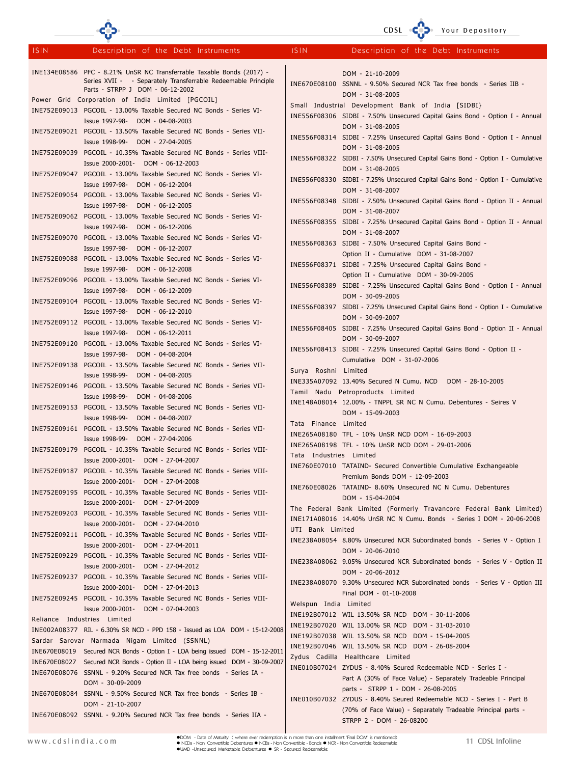|             |                                                                                                                                                                            |                         | CDSL CODe Your Depository                                                                                                            |
|-------------|----------------------------------------------------------------------------------------------------------------------------------------------------------------------------|-------------------------|--------------------------------------------------------------------------------------------------------------------------------------|
| <b>ISIN</b> | Description of the Debt Instruments                                                                                                                                        | <b>ISIN</b>             | Description of the Debt Instruments                                                                                                  |
|             | INE134E08586 PFC - 8.21% UnSR NC Transferrable Taxable Bonds (2017) -<br>Series XVII - - Separately Transferrable Redeemable Principle<br>Parts - STRPP J DOM - 06-12-2002 |                         | DOM - 21-10-2009<br>INE670E08100 SSNNL - 9.50% Secured NCR Tax free bonds - Series IIB -<br>DOM - 31-08-2005                         |
|             | Power Grid Corporation of India Limited [PGCOIL]<br>INE752E09013 PGCOIL - 13.00% Taxable Secured NC Bonds - Series VI-                                                     |                         | Small Industrial Development Bank of India [SIDBI}<br>INE556F08306 SIDBI - 7.50% Unsecured Capital Gains Bond - Option I - Annual    |
|             | Issue 1997-98- DOM - 04-08-2003<br>INE752E09021 PGCOIL - 13.50% Taxable Secured NC Bonds - Series VII-<br>Issue 1998-99- DOM - 27-04-2005                                  |                         | DOM - 31-08-2005<br>INE556F08314 SIDBI - 7.25% Unsecured Capital Gains Bond - Option I - Annual                                      |
|             | INE752E09039 PGCOIL - 10.35% Taxable Secured NC Bonds - Series VIII-<br>Issue 2000-2001- DOM - 06-12-2003                                                                  |                         | DOM - 31-08-2005<br>INE556F08322 SIDBI - 7.50% Unsecured Capital Gains Bond - Option I - Cumulative                                  |
|             | INE752E09047 PGCOIL - 13.00% Taxable Secured NC Bonds - Series VI-<br>Issue 1997-98- DOM - 06-12-2004                                                                      |                         | DOM - 31-08-2005<br>INE556F08330 SIDBI - 7.25% Unsecured Capital Gains Bond - Option I - Cumulative                                  |
|             | INE752E09054 PGCOIL - 13.00% Taxable Secured NC Bonds - Series VI-<br>Issue 1997-98- DOM - 06-12-2005                                                                      |                         | DOM - 31-08-2007<br>INE556F08348 SIDBI - 7.50% Unsecured Capital Gains Bond - Option II - Annual                                     |
|             | INE752E09062 PGCOIL - 13.00% Taxable Secured NC Bonds - Series VI-<br>Issue 1997-98- DOM - 06-12-2006                                                                      |                         | DOM - 31-08-2007<br>INE556F08355 SIDBI - 7.25% Unsecured Capital Gains Bond - Option II - Annual                                     |
|             | INE752E09070 PGCOIL - 13.00% Taxable Secured NC Bonds - Series VI-<br>Issue 1997-98- DOM - 06-12-2007                                                                      |                         | DOM - 31-08-2007<br>INE556F08363 SIDBI - 7.50% Unsecured Capital Gains Bond -                                                        |
|             | INE752E09088 PGCOIL - 13.00% Taxable Secured NC Bonds - Series VI-<br>Issue 1997-98- DOM - 06-12-2008                                                                      |                         | Option II - Cumulative DOM - 31-08-2007<br>INE556F08371 SIDBI - 7.25% Unsecured Capital Gains Bond -                                 |
|             | INE752E09096 PGCOIL - 13.00% Taxable Secured NC Bonds - Series VI-<br>Issue 1997-98- DOM - 06-12-2009                                                                      |                         | Option II - Cumulative DOM - 30-09-2005<br>INE556F08389 SIDBI - 7.25% Unsecured Capital Gains Bond - Option I - Annual               |
|             | INE752E09104 PGCOIL - 13.00% Taxable Secured NC Bonds - Series VI-<br>Issue 1997-98- DOM - 06-12-2010                                                                      |                         | DOM - 30-09-2005<br>INE556F08397 SIDBI - 7.25% Unsecured Capital Gains Bond - Option I - Cumulative<br>DOM - 30-09-2007              |
|             | INE752E09112 PGCOIL - 13.00% Taxable Secured NC Bonds - Series VI-<br>Issue 1997-98- DOM - 06-12-2011                                                                      |                         | INE556F08405 SIDBI - 7.25% Unsecured Capital Gains Bond - Option II - Annual<br>DOM - 30-09-2007                                     |
|             | INE752E09120 PGCOIL - 13.00% Taxable Secured NC Bonds - Series VI-<br>Issue 1997-98- DOM - 04-08-2004                                                                      |                         | INE556F08413 SIDBI - 7.25% Unsecured Capital Gains Bond - Option II -<br>Cumulative DOM - 31-07-2006                                 |
|             | INE752E09138 PGCOIL - 13.50% Taxable Secured NC Bonds - Series VII-<br>Issue 1998-99- DOM - 04-08-2005                                                                     | Surya Roshni Limited    | INE335A07092 13.40% Secured N Cumu. NCD DOM - 28-10-2005                                                                             |
|             | INE752E09146 PGCOIL - 13.50% Taxable Secured NC Bonds - Series VII-<br>Issue 1998-99- DOM - 04-08-2006                                                                     |                         | Tamil Nadu Petroproducts Limited<br>INE148A08014 12.00% - TNPPL SR NC N Cumu. Debentures - Seires V                                  |
|             | INE752E09153 PGCOIL - 13.50% Taxable Secured NC Bonds - Series VII-<br>Issue 1998-99- DOM - 04-08-2007                                                                     | Tata Finance Limited    | DOM - 15-09-2003                                                                                                                     |
|             | INE752E09161 PGCOIL - 13.50% Taxable Secured NC Bonds - Series VII-<br>Issue 1998-99- DOM - 27-04-2006                                                                     |                         | INE265A08180 TFL - 10% UnSR NCD DOM - 16-09-2003<br>INE265A08198 TFL - 10% UnSR NCD DOM - 29-01-2006                                 |
|             | INE752E09179 PGCOIL - 10.35% Taxable Secured NC Bonds - Series VIII-<br>Issue 2000-2001- DOM - 27-04-2007                                                                  | Tata Industries Limited | INE760E07010 TATAIND- Secured Convertible Cumulative Exchangeable                                                                    |
|             | INE752E09187 PGCOIL - 10.35% Taxable Secured NC Bonds - Series VIII-<br>DOM - 27-04-2008<br>Issue 2000-2001-                                                               |                         | Premium Bonds DOM - 12-09-2003<br>INE760E08026 TATAIND- 8.60% Unsecured NC N Cumu. Debentures                                        |
|             | INE752E09195 PGCOIL - 10.35% Taxable Secured NC Bonds - Series VIII-<br>Issue 2000-2001-<br>DOM - 27-04-2009                                                               |                         | DOM - 15-04-2004<br>The Federal Bank Limited (Formerly Travancore Federal Bank Limited)                                              |
|             | INE752E09203 PGCOIL - 10.35% Taxable Secured NC Bonds - Series VIII-<br>Issue 2000-2001-<br>DOM - 27-04-2010                                                               | UTI Bank Limited        | INE171A08016 14.40% UnSR NC N Cumu. Bonds - Series I DOM - 20-06-2008                                                                |
|             | INE752E09211 PGCOIL - 10.35% Taxable Secured NC Bonds - Series VIII-<br>Issue 2000-2001-<br>DOM - 27-04-2011                                                               |                         | INE238A08054 8.80% Unsecured NCR Subordinated bonds - Series V - Option I<br>DOM - 20-06-2010                                        |
|             | INE752E09229 PGCOIL - 10.35% Taxable Secured NC Bonds - Series VIII-<br>Issue 2000-2001-<br>DOM - 27-04-2012                                                               |                         | INE238A08062 9.05% Unsecured NCR Subordinated bonds - Series V - Option II<br>DOM - 20-06-2012                                       |
|             | INE752E09237 PGCOIL - 10.35% Taxable Secured NC Bonds - Series VIII-<br>Issue 2000-2001- DOM - 27-04-2013                                                                  |                         | INE238A08070 9.30% Unsecured NCR Subordinated bonds - Series V - Option III<br>Final DOM - 01-10-2008                                |
|             | INE752E09245 PGCOIL - 10.35% Taxable Secured NC Bonds - Series VIII-<br>Issue 2000-2001- DOM - 07-04-2003<br>Reliance Industries Limited                                   | Welspun India Limited   | INE192B07012 WIL 13.50% SR NCD DOM - 30-11-2006<br>INE192B07020 WIL 13.00% SR NCD DOM - 31-03-2010                                   |
|             | INE002A08377 RIL - 6.30% SR NCD - PPD 158 - Issued as LOA DOM - 15-12-2008<br>Sardar Sarovar Narmada Nigam Limited (SSNNL)                                                 |                         | INE192B07038 WIL 13.50% SR NCD DOM - 15-04-2005<br>INE192B07046 WIL 13.50% SR NCD DOM - 26-08-2004                                   |
|             | INE670E08019 Secured NCR Bonds - Option I - LOA being issued DOM - 15-12-2011<br>INE670E08027 Secured NCR Bonds - Option II - LOA being issued DOM - 30-09-2007            |                         | Zydus Cadilla Healthcare Limited<br>INE010B07024 ZYDUS - 8.40% Seured Redeemable NCD - Series I -                                    |
|             | INE670E08076 SSNNL - 9.20% Secured NCR Tax free bonds - Series IA -<br>DOM - 30-09-2009                                                                                    |                         | Part A (30% of Face Value) - Separately Tradeable Principal<br>parts - STRPP 1 - DOM - 26-08-2005                                    |
|             | INE670E08084 SSNNL - 9.50% Secured NCR Tax free bonds - Series IB -<br>DOM - 21-10-2007                                                                                    |                         | INE010B07032 ZYDUS - 8.40% Seured Redeemable NCD - Series I - Part B<br>(70% of Face Value) - Separately Tradeable Principal parts - |
|             | INE670E08092 SSNNL - 9.20% Secured NCR Tax free bonds - Series IIA -                                                                                                       |                         | STRPP 2 - DOM - 26-08200                                                                                                             |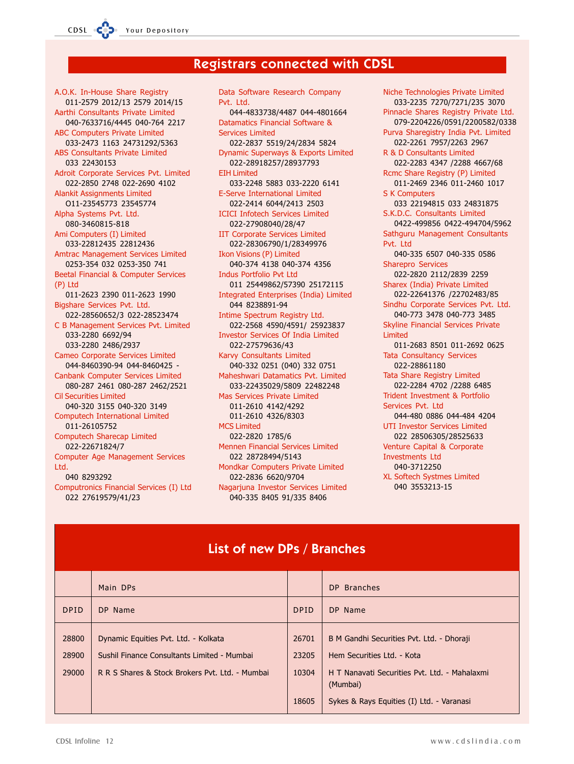CDSL

# **Registrars connected with CDSL**

A.O.K. In-House Share Registry 011-2579 2012/13 2579 2014/15 Aarthi Consultants Private Limited 040-7633716/4445 040-764 2217 **ABC Computers Private Limited** 033-2473 1163 24731292/5363 **ABS Consultants Private Limited** 033 22430153 Adroit Corporate Services Pvt. Limited 022-2850 2748 022-2690 4102 **Alankit Assignments Limited** 011-23545773 23545774 Alpha Systems Pvt. Ltd. 080-3460815-818 Ami Computers (I) Limited 033-22812435 22812436 **Amtrac Management Services Limited** 0253-354 032 0253-350 741 Beetal Financial & Computer Services (P) Ltd 011-2623 2390 011-2623 1990 Bigshare Services Pvt. Ltd. 022-28560652/3 022-28523474 C B Management Services Pvt. Limited 033-2280 6692/94 033-2280 2486/2937 Cameo Corporate Services Limited 044-8460390-94 044-8460425 -Canbank Computer Services Limited 080-287 2461 080-287 2462/2521 Cil Securities Limited 040-320 3155 040-320 3149 **Computech International Limited** 011-26105752 **Computech Sharecap Limited** 022-22671824/7 Computer Age Management Services Ltd. 040 8293292 Computronics Financial Services (I) Ltd 022 27619579/41/23

Data Software Research Company Pyt Itd 044-4833738/4487 044-4801664 Datamatics Financial Software & **Services Limited** 022-2837 5519/24/2834 5824 Dynamic Superways & Exports Limited 022-28918257/28937793 **EIH Limited** 033-2248 5883 033-2220 6141 **E-Serve International Limited** 022-2414 6044/2413 2503 **ICICI Infotech Services Limited** 022-27908040/28/47 **IIT Corporate Services Limited** 022-28306790/1/28349976 Ikon Visions (P) Limited 040-374 4138 040-374 4356 **Indus Portfolio Pvt Ltd** 011 25449862/57390 25172115 Integrated Enterprises (India) Limited 044 8238891-94 Intime Spectrum Registry Ltd. 022-2568 4590/4591/ 25923837 **Investor Services Of India Limited** 022-27579636/43 Karvy Consultants Limited 040-332 0251 (040) 332 0751 Maheshwari Datamatics Pvt. Limited 033-22435029/5809 22482248 Mas Services Private Limited 011-2610 4142/4292 011-2610 4326/8303 MCS Limited 022-2820 1785/6 Mennen Financial Services Limited 022 28728494/5143 Mondkar Computers Private Limited 022-2836 6620/9704 Nagarjuna Investor Services Limited 040-335 8405 91/335 8406

Niche Technologies Private Limited 033-2235 7270/7271/235 3070 Pinnacle Shares Registry Private Ltd. 079-2204226/0591/2200582/0338 Purva Sharegistry India Pvt. Limited 022-2261 7957/2263 2967 R & D Consultants Limited 022-2283 4347 /2288 4667/68 Rcmc Share Registry (P) Limited 011-2469 2346 011-2460 1017 **S K Computers** 033 22194815 033 24831875 S.K.D.C. Consultants Limited 0422-499856 0422-494704/5962 Sathguru Management Consultants Pvt. Ltd 040-335 6507 040-335 0586 **Sharepro Services** 022-2820 2112/2839 2259 Sharex (India) Private Limited 022-22641376 /22702483/85 Sindhu Corporate Services Pvt. Ltd. 040-773 3478 040-773 3485 **Skyline Financial Services Private** Limited 011-2683 8501 011-2692 0625 **Tata Consultancy Services** 022-28861180 Tata Share Registry Limited 022-2284 4702 /2288 6485 Trident Investment & Portfolio Services Pvt. Itd 044-480 0886 044-484 4204 **UTI Investor Services Limited** 022 28506305/28525633 Venture Capital & Corporate **Investments Ltd** 040-3712250 **XL Softech Systmes Limited** 040 3553213-15

| <b>List of new DPs / Branches</b> |                                                                                                                                        |                                  |                                                                                                                                                                                   |  |  |
|-----------------------------------|----------------------------------------------------------------------------------------------------------------------------------------|----------------------------------|-----------------------------------------------------------------------------------------------------------------------------------------------------------------------------------|--|--|
|                                   | Main DPs                                                                                                                               |                                  | DP Branches                                                                                                                                                                       |  |  |
| <b>DPID</b>                       | DP Name                                                                                                                                | <b>DPID</b>                      | DP Name                                                                                                                                                                           |  |  |
| 28800<br>28900<br>29000           | Dynamic Equities Pvt. Ltd. - Kolkata<br>Sushil Finance Consultants Limited - Mumbai<br>R R S Shares & Stock Brokers Pvt. Ltd. - Mumbai | 26701<br>23205<br>10304<br>18605 | B M Gandhi Securities Pvt. Ltd. - Dhoraji<br>Hem Securities Ltd. - Kota<br>H T Nanavati Securities Pvt. Ltd. - Mahalaxmi<br>(Mumbai)<br>Sykes & Rays Equities (I) Ltd. - Varanasi |  |  |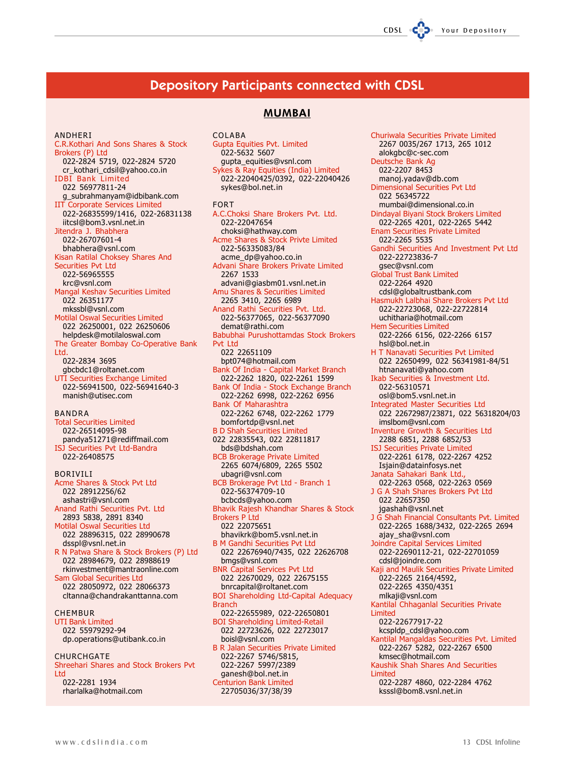# **Depository Participants connected with CDSL**

CDSL

Your Depository

# **MUMBAI**

**ANDHERI** 

C.R.Kothari And Sons Shares & Stock Brokers (P) Ltd 022-2824 5719, 022-2824 5720 cr\_kothari\_cdsil@yahoo.co.in **IDBI Bank Limited** 022 56977811-24 g\_subrahmanyam@idbibank.com **IIT Corporate Services Limited** 022-26835599/1416, 022-26831138 iitcsl@bom3.vsnl.net.in Jitendra J. Bhabhera 022-26707601-4 bhabhera@vsnl.com Kisan Ratilal Choksey Shares And Securities Pvt Ltd 022-56965555 krc@vsnl.com Mangal Keshav Securities Limited 022 26351177 mkssbl@vsnl.com **Motilal Oswal Securities Limited** 022 26250001, 022 26250606 helpdesk@motilaloswal.com The Greater Bombay Co-Operative Bank Ltd. 022-2834 3695 gbcbdc1@roltanet.com UTI Securities Exchange Limited 022-56941500, 022-56941640-3 manish@utisec.com **BANDRA Total Securities Limited** 022-26514095-98 pandya51271@rediffmail.com ISJ Securities Pvt Ltd-Bandra 022-26408575 BORIVILI Acme Shares & Stock Pvt Ltd 022 28912256/62 ashastri@vsnl.com Anand Rathi Securities Pvt. Ltd 2893 5838, 2891 8340 Motilal Oswal Securities Ltd 022 28896315, 022 28990678 dsspl@vsnl.net.in R N Patwa Share & Stock Brokers (P) Ltd 022 28984679, 022 28988619 rkinvestment@mantraonline.com Sam Global Securities Ltd 022 28050972, 022 28066373 cltanna@chandrakanttanna.com **CHEMBUR UTI Bank Limited** 

022 55979292-94 dp.operations@utibank.co.in CHURCHGATE Shreehari Shares and Stock Brokers Pvt **Itd** 022-2281 1934

rharlalka@hotmail.com

**COLABA** Gupta Equities Pvt. Limited 022-5632 5607 gupta\_equities@vsnl.com Sykes & Ray Equities (India) Limited 022-22040425/0392, 022-22040426 sykes@bol.net.in **FORT** A.C.Choksi Share Brokers Pvt. Ltd. 022-22047654 choksi@hathway.com Acme Shares & Stock Privte Limited 022-56335083/84 acme\_dp@yahoo.co.in Advani Share Brokers Private Limited 2267 1533 advani@giasbm01.vsnl.net.in Amu Shares & Securities Limited 2265 3410, 2265 6989<br>Anand Rathi Securities Pvt. Ltd. 022-56377065, 022-56377090 demat@rathi.com Babubhai Purushottamdas Stock Brokers Pvt 1td 022 22651109 bpt074@hotmail.com Bank Of India - Capital Market Branch 022-2262 1820, 022-2261 1599 Bank Of India - Stock Exchange Branch 022-2262 6998, 022-2262 6956 Bank Of Maharashtra 022-2262 6748, 022-2262 1779 bomfortdp@vsnl.net **B D Shah Securities Limited** 022 22835543, 022 22811817 bds@bdshah.com **BCB Brokerage Private Limited** 2265 6074/6809, 2265 5502 ubagri@vsnl.com BCB Brokerage Pvt Ltd - Branch 1 022-56374709-10 bcbcds@yahoo.com Bhavik Rajesh Khandhar Shares & Stock **Brokers P Ltd** 022 22075651 bhavikrk@bom5.vsnl.net.in **B M Gandhi Securities Pvt Ltd** 022 22676940/7435, 022 22626708 bmgs@vsnl.com **BNR Capital Services Pvt Ltd** 022 22670029, 022 22675155 bnrcapital@roltanet.com **BOI Shareholding Ltd-Capital Adequacy Branch** 022-22655989, 022-22650801 BOI Shareholding Limited-Retail<br>022 22723626, 022 22723017 boisl@vsnl.com **B R Jalan Securities Private Limited** 022-2267 5746/5815, 022-2267 5997/2389 ganesh@bol.net.in **Centurion Bank Limited** 

22705036/37/38/39

Churiwala Securities Private Limited 2267 0035/267 1713, 265 1012 alokgbc@c-sec.com Deutsche Bank Ag 022-2207 8453 manoj.yadav@db.com **Dimensional Securities Pvt Ltd** 022 56345722 mumbai@dimensional.co.in Dindayal Biyani Stock Brokers Limited 022-2265 4201, 022-2265 5442 **Enam Securities Private Limited** 022-2265 5535 Gandhi Securities And Investment Pvt Ltd 022-22723836-7 gsec@vsnl.com **Global Trust Bank Limited** 022-2264 4920 cdsl@globaltrustbank.com Hasmukh Lalbhai Share Brokers Pvt Ltd 022-22723068, 022-22722814 uchitharia@hotmail.com **Hem Securities Limited** 022-2266 6156, 022-2266 6157 hsl@bol.net.in H T Nanavati Securities Pvt Limited 022 22650499, 022 56341981-84/51 htnanavati@yahoo.com Ikab Securities & Investment Ltd. 022-56310571 osl@bom5.vsnl.net.in **Integrated Master Securities Ltd** 022 22672987/23871, 022 56318204/03 imslbom@vsnl.com **Inventure Growth & Securities Ltd** 2288 6851, 2288 6852/53 ISJ Securities Private Limited 022-2261 6178, 022-2267 4252 Isjain@datainfosys.net Janata Sahakari Bank Ltd 022-2263 0568, 022-2263 0569 J G A Shah Shares Brokers Pvt Ltd 022 22657350 jgashah@vsnl.net J G Shah Financial Consultants Pvt. Limited 022-2265 1688/3432, 022-2265 2694 ajay\_sha@vsnl.com Joindre Capital Services Limited 022-22690112-21, 022-22701059 cdsl@joindre.com Kaji and Maulik Securities Private Limited 022-2265 2164/4592, 022-2265 4350/4351 mlkaji@vsnl.com Kantilal Chhaganlal Securities Private Limited 022-22677917-22 kcspldp\_cdsl@yahoo.com Kantilal Mangaldas Securities Pvt. Limited 022-2267 5282, 022-2267 6500 kmsec@hotmail.com Kaushik Shah Shares And Securities Limited 022-2287 4860, 022-2284 4762 ksssl@bom8.vsnl.net.in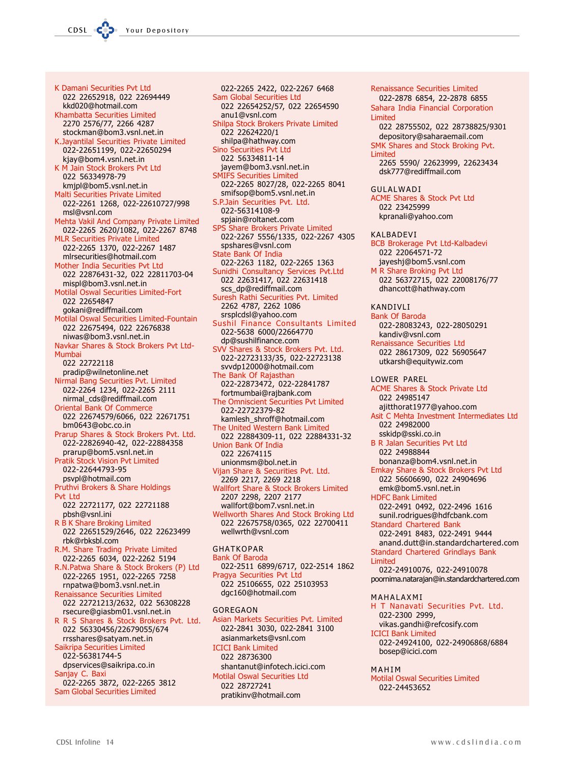K Damani Securities Pvt Ltd 022 22652918, 022 22694449 kkd020@hotmail.com Khambatta Securities Limited 2270 2576/77, 2266 4287 stockman@bom3.vsnl.net.in K.Jayantilal Securities Private Limited 022-22651199, 022-22650294 kjay@bom4.vsnl.net.in K M Jain Stock Brokers Pvt Ltd 022 56334978-79 kmjpl@bom5.vsnl.net.in Malti Securities Private Limited 022-2261 1268, 022-22610727/998 msl@vsnl.com Mehta Vakil And Company Private Limited 022-2265 2620/1082, 022-2267 8748 **MLR Securities Private Limited** 022-2265 1370, 022-2267 1487 mlrsecurities@hotmail.com Mother India Securities Pvt Ltd 022 22876431-32, 022 22811703-04 mispl@bom3.vsnl.net.in Motilal Oswal Securities Limited-Fort 022 22654847 qokani@rediffmail.com Motilal Oswal Securities Limited-Fountain 022 22675494, 022 22676838 niwas@bom3.vsnl.net.in Navkar Shares & Stock Brokers Pvt Ltd-Mumbai 022 22722118 pradip@wilnetonline.net Nirmal Bang Securities Pvt. Limited 022-2264 1234, 022-2265 2111 nirmal\_cds@rediffmail.com Oriental Bank Of Commerce 022 22674579/6066, 022 22671751 bm0643@obc.co.in Prarup Shares & Stock Brokers Pvt. Ltd. 022-22826940-42, 022-22884358 prarup@bom5.vsnl.net.in **Pratik Stock Vision Pvt Limited** 022-22644793-95 psvpl@hotmail.com Pruthvi Brokers & Share Holdings Pvt Itd 022 22721177, 022 22721188 pbsh@vsnl.ini R B K Share Broking Limited 022 22651529/2646, 022 22623499 rbk@rbksbl.com R.M. Share Trading Private Limited 022-2265 6034, 022-2262 5194 R.N.Patwa Share & Stock Brokers (P) Ltd 022-2265 1951, 022-2265 7258 rnpatwa@bom3.vsnl.net.in **Renaissance Securities Limited** 022 22721213/2632, 022 56308228 rsecure@giasbm01.vsnl.net.in R R S Shares & Stock Brokers Pvt. Ltd. 022 56330456/22679055/674 rrsshares@satyam.net.in Saikripa Securities Limited 022-56381744-5 dpservices@saikripa.co.in Sanjay C. Baxi 022-2265 3872, 022-2265 3812 **Sam Global Securities Limited** 

022-2265 2422, 022-2267 6468 Sam Global Securities Ltd 022 22654252/57, 022 22654590 anu1@vsnl.com Shilpa Stock Brokers Private Limited 022 22624220/1 shilpa@hathway.com Sino Securities Pvt Ltd 022 56334811-14 jayem@bom3.vsnl.net.in **SMIFS Securities Limited** 022-2265 8027/28, 022-2265 8041 smifsop@bom5.vsnl.net.in S.P.Jain Securities Pvt. Ltd. 022-56314108-9 spjain@roltanet.com SPS Share Brokers Private Limited 022-2267 5556/1335, 022-2267 4305 spshares@vsnl.com State Bank Of India 022-2263 1182, 022-2265 1363 Sunidhi Consultancy Services Pvt.Ltd 022 22631417, 022 22631418 scs\_dp@rediffmail.com Suresh Rathi Securities Pvt. Limited 2262 4787, 2262 1086 srsplcdsl@yahoo.com Sushil Finance Consultants Limited 022-5638 6000/22664770 dp@sushilfinance.com SVV Shares & Stock Brokers Pvt. Ltd. 022-22723133/35, 022-22723138 svvdp12000@hotmail.com The Bank Of Rajasthan 022-22873472, 022-22841787 fortmumbai@rajbank.com The Omniscient Securities Pvt Limited 022-22722379-82 kamlesh\_shroff@hotmail.com The United Western Bank Limited 022 22884309-11, 022 22884331-32 **Union Bank Of India** 022 22674115 unionmsm@bol.net.in Vijan Share & Securities Pvt. Ltd. 2269 2217, 2269 2218 Wallfort Share & Stock Brokers Limited 2207 2298, 2207 2177 wallfort@bom7.vsnl.net.in Wellworth Shares And Stock Broking Ltd 022 22675758/0365, 022 22700411 wellwrth@vsnl.com **GHATKOPAR Bank Of Baroda** 022-2511 6899/6717, 022-2514 1862 Pragya Securities Pvt Ltd 022 25106655, 022 25103953 dgc160@hotmail.com GORFGAON Asian Markets Securities Pvt. Limited 022-2841 3030, 022-2841 3100 asianmarkets@vsnl.com **ICICI Bank Limited** 

022 28736300 shantanut@infotech.icici.com **Motilal Oswal Securities Ltd** 022 28727241 pratikinv@hotmail.com

Renaissance Securities Limited 022-2878 6854, 22-2878 6855 Sahara India Financial Corporation **Limited** 022 28755502, 022 28738825/9301 depository@saharaemail.com SMK Shares and Stock Broking Pvt. Limited 2265 5590/ 22623999, 22623434 dsk777@rediffmail.com GIJI AI WADI **ACME Shares & Stock Pvt Ltd** 022 23425999 kpranali@yahoo.com KALBADEVI BCB Brokerage Pvt Ltd-Kalbadevi 022 22064571-72 jayeshj@bom5.vsnl.com M R Share Broking Pvt Ltd 022 56372715, 022 22008176/77 dhancott@hathway.com **KANDIVII Bank Of Baroda** 022-28083243, 022-28050291 kandiv@vsnl.com Renaissance Securities Ltd 022 28617309, 022 56905647 utkarsh@equitywiz.com LOWER PAREL **ACME Shares & Stock Private Ltd** 022 24985147 ajitthorat1977@yahoo.com Asit C Mehta Investment Intermediates Ltd 022 24982000 sskidp@sski.co.in **B R Jalan Securities Pvt Ltd** 022 24988844 bonanza@bom4.vsnl.net.in Emkay Share & Stock Brokers Pvt Ltd 022 56606690, 022 24904696 emk@bom5.vsnl.net.in **HDFC Bank Limited** 022-2491 0492, 022-2496 1616 sunil.rodrigues@hdfcbank.com **Standard Chartered Bank** 022-2491 8483, 022-2491 9444 anand.dutt@in.standardchartered.com Standard Chartered Grindlays Bank **Limited** 022-24910076, 022-24910078 poornima.natarajan@in.standardchartered.com MAHALAXMI H T Nanavati Securities Pvt. Ltd. 022-2300 2999, vikas.gandhi@refcosify.com **ICICI Bank Limited** 022-24924100, 022-24906868/6884 bosep@icici.com

MAHIM

**Motilal Oswal Securities Limited** 022-24453652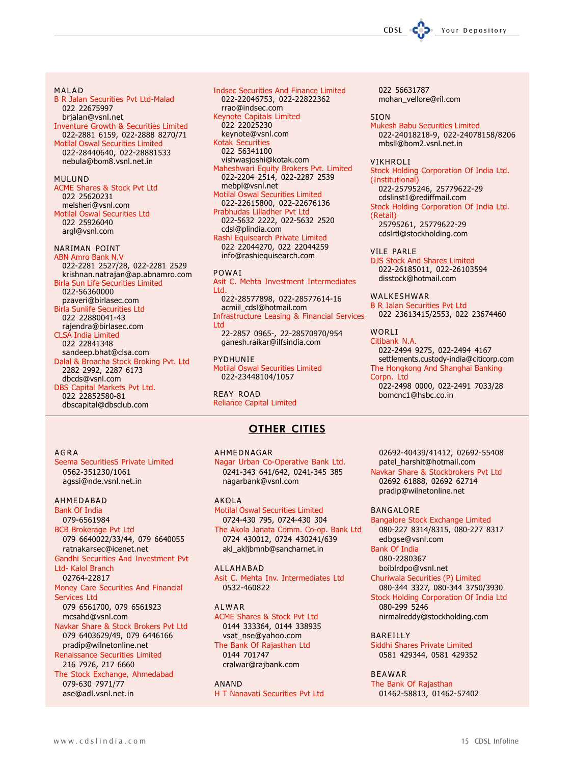#### MALAD

**B R Jalan Securities Pvt Ltd-Malad** 022 22675997 brjalan@vsnl.net Inventure Growth & Securities Limited 022-2881 6159, 022-2888 8270/71 **Motilal Oswal Securities Limited** 022-28440640, 022-28881533 nebula@bom8.vsnl.net.in

#### **MIII IIND**

**ACME Shares & Stock Pvt Ltd** 022 25620231 melsheri@vsnl.com **Motilal Oswal Securities Ltd** 022 25926040 argl@vsnl.com

# NARIMAN POINT

**ABN Amro Bank N.V** 022-2281 2527/28, 022-2281 2529 krishnan.natrajan@ap.abnamro.com **Birla Sun Life Securities Limited** 022-56360000 pzaveri@birlasec.com **Birla Sunlife Securities Ltd** 022 22880041-43 rajendra@birlasec.com **CLSA India Limited** 022 22841348 sandeep.bhat@clsa.com Dalal & Broacha Stock Broking Pvt. Ltd 2282 2992, 2287 6173 dbcds@vsnl.com DBS Capital Markets Pvt Ltd. 022 22852580-81 dbscapital@dbsclub.com

**Indsec Securities And Finance Limited** 022-22046753, 022-22822362 rrao@indsec.com **Keynote Capitals Limited** 022 22025230 keynote@vsnl.com **Kotak Securities** 022 56341100 vishwasjoshi@kotak.com Maheshwari Equity Brokers Pvt. Limited 022-2204 2514, 022-2287 2539 mebpl@vsnl.net Motilal Oswal Securities Limited 022-22615800, 022-22676136 Prabhudas Lilladher Pyt Ltd 022-5632 2222, 022-5632 2520 cdsl@plindia.com Rashi Equisearch Private Limited 022 22044270, 022 22044259 info@rashiequisearch.com POWAI

Asit C. Mehta Investment Intermediates **I** td 022-28577898, 022-28577614-16 acmiil\_cdsl@hotmail.com **Infrastructure Leasing & Financial Services** Ltd 22-2857 0965-, 22-28570970/954 ganesh.raikar@ilfsindia.com

**PYDHUNIF Motilal Oswal Securities Limited** 022-23448104/1057

**REAY ROAD Reliance Capital Limited** 

AHMFDNAGAR

# **OTHER CITIES**

#### $AGRA$

Seema SecuritiesS Private Limited 0562-351230/1061 agssi@nde.vsnl.net.in

## AHMEDABAD

**Bank Of India** 079-6561984 **BCB Brokerage Pvt Ltd** 079 6640022/33/44, 079 6640055 ratnakarsec@icenet.net Gandhi Securities And Investment Pvt **Ltd- Kalol Branch** 02764-22817 Money Care Securities And Financial Services Ltd 079 6561700, 079 6561923 mcsahd@vsnl.com Navkar Share & Stock Brokers Pvt Ltd 079 6403629/49, 079 6446166 pradip@wilnetonline.net Renaissance Securities Limited 216 7976, 217 6660 The Stock Exchange, Ahmedabad 079-630 7971/77 ase@adl.vsnl.net.in

Nagar Urban Co-Operative Bank Ltd. 0241-343 641/642, 0241-345 385 nagarbank@vsnl.com

**AKOLA Motilal Oswal Securities Limited** 0724-430 795, 0724-430 304 The Akola Janata Comm. Co-op. Bank Ltd 0724 430012, 0724 430241/639 akl\_akljbmnb@sancharnet.in

**AII AHARAD** Asit C. Mehta Inv. Intermediates Ltd 0532-460822

ALWAR **ACME Shares & Stock Pvt Ltd** 0144 333364, 0144 338935 vsat\_nse@yahoo.com

The Bank Of Rajasthan Ltd 0144 701747 cralwar@rajbank.com

ANAND H T Nanavati Securities Pvt Ltd 022 56631787 mohan\_vellore@ril.com

#### **SION**

**Mukesh Babu Securities Limited** 022-24018218-9, 022-24078158/8206 mbsll@bom2.vsnl.net.in

#### VIKHROLI

Stock Holding Corporation Of India Ltd. (Institutional) 022-25795246, 25779622-29 cdslinst1@rediffmail.com Stock Holding Corporation Of India Ltd. (Retail) 25795261, 25779622-29 cdslrtl@stockholding.com

VILE PARLE

**DJS Stock And Shares Limited** 022-26185011, 022-26103594 disstock@hotmail.com

WALKESHWAR **B R Jalan Securities Pvt Ltd** 022 23613415/2553, 022 23674460

**WORLT** 

Citibank N.A. 022-2494 9275, 022-2494 4167 settlements.custody-india@citicorp.com The Hongkong And Shanghai Banking Corpn. Ltd 022-2498 0000, 022-2491 7033/28 bomcnc1@hsbc.co.in

02692-40439/41412, 02692-55408 patel\_harshit@hotmail.com Navkar Share & Stockbrokers Pvt Ltd 02692 61888, 02692 62714 pradip@wilnetonline.net

#### **BANGALORE**

Bangalore Stock Exchange Limited 080-227 8314/8315, 080-227 8317 edbgse@vsnl.com

**Bank Of India** 080-2280367 boiblrdpo@vsnl.net

Churiwala Securities (P) Limited 080-344 3327, 080-344 3750/3930 Stock Holding Corporation Of India Ltd 080-299 5246 nirmalreddy@stockholding.com

BAREILLY Siddhi Shares Private Limited 0581 429344, 0581 429352

**BEAWAR** The Bank Of Rajasthan 01462-58813, 01462-57402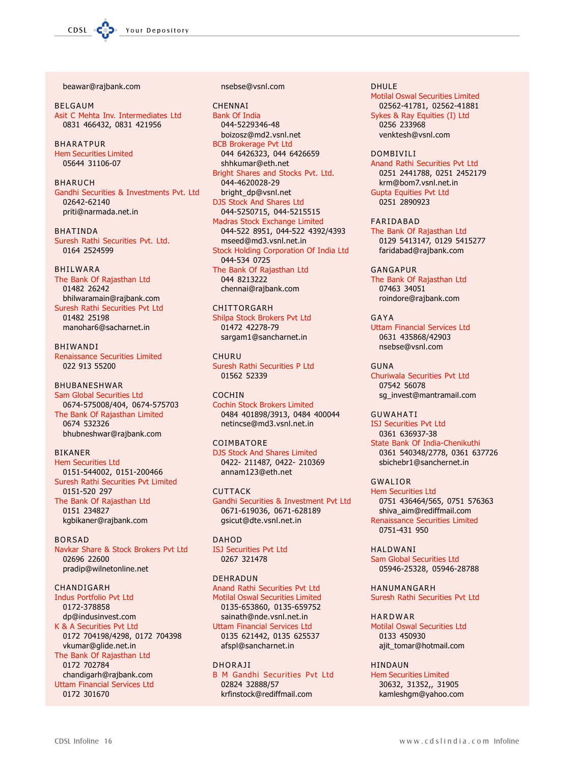beawar@rajbank.com

**BFIGAUM** Asit C Mehta Inv. Intermediates Ltd 0831 466432, 0831 421956

**BHARATPUR Hem Securities Limited** 05644 31106-07

**BHARUCH** Gandhi Securities & Investments Pvt. Ltd 02642-62140 priti@narmada.net.in

**RHATINDA** Suresh Rathi Securities Pvt. Ltd. 0164 2524599

## **BHILWARA**

The Bank Of Rajasthan Ltd 01482 26242 bhilwaramain@rajbank.com Suresh Rathi Securities Pvt Ltd 01482 25198 manohar6@sacharnet.in

**BHIWANDI** Renaissance Securities Limited 022 913 55200

BHUBANESHWAR **Sam Global Securities Ltd** 0674-575008/404, 0674-575703 The Bank Of Rajasthan Limited 0674 532326 bhubneshwar@rajbank.com

**BIKANER Hem Securities Ltd** 0151-544002, 0151-200466 Suresh Rathi Securities Pvt Limited 0151-520 297 The Bank Of Rajasthan Ltd 0151 234827 kgbikaner@rajbank.com

**BORSAD** Navkar Share & Stock Brokers Pvt Ltd 02696 22600 pradip@wilnetonline.net

## CHANDIGARH

**Indus Portfolio Pvt Ltd** 0172-378858 dp@indusinvest.com K & A Securities Pvt Ltd 0172 704198/4298, 0172 704398 vkumar@glide.net.in The Bank Of Rajasthan Ltd 0172 702784 chandigarh@rajbank.com **Uttam Financial Services Ltd** 0172 301670

#### nsebse@vsnl.com

CHENNAI **Bank Of India** 044-5229346-48 boizosz@md2.vsnl.net **BCB Brokerage Pvt Ltd** 044 6426323, 044 6426659 shhkumar@eth.net Bright Shares and Stocks Pvt. Ltd. 044-4620028-29 bright\_dp@vsnl.net DJS Stock And Shares Ltd 044-5250715, 044-5215515 Madras Stock Exchange Limited 044-522 8951, 044-522 4392/4393 mseed@md3.vsnl.net.in Stock Holding Corporation Of India Ltd 044-534 0725 The Bank Of Rajasthan Ltd 044 8213222 chennai@rajbank.com

CHITTORGARH

Shilpa Stock Brokers Pvt Ltd 01472 42278-79 sargam1@sancharnet.in

CHURU Suresh Rathi Securities P Ltd 01562 52339

#### **COCHIN**

**Cochin Stock Brokers Limited** 0484 401898/3913, 0484 400044 netincse@md3.vsnl.net.in

COIMBATORE

DJS Stock And Shares Limited 0422-211487, 0422-210369 annam123@eth.net

**CUTTACK** Gandhi Securities & Investment Pvt Ltd 0671-619036, 0671-628189 gsicut@dte.vsnl.net.in

**DAHOD ISJ Securities Pvt Ltd** 0267 321478

## DEHRADUN

Anand Rathi Securities Pvt Ltd **Motilal Oswal Securities Limited** 0135-653860, 0135-659752 sainath@nde.vsnl.net.in **Uttam Financial Services Ltd** 0135 621442, 0135 625537 afspl@sancharnet.in

# **DHORAJI**

**B M Gandhi Securities Pvt Ltd** 02824 32888/57 krfinstock@rediffmail.com

**DHULE** 

**Motilal Oswal Securities Limited** 02562-41781, 02562-41881 Sykes & Ray Equities (I) Ltd 0256 233968 venktesh@vsnl.com

**DOMBIVILI** Anand Rathi Securities Pvt Ltd 0251 2441788, 0251 2452179 krm@bom7.vsnl.net.in **Gupta Equities Pvt Ltd** 0251 2890923

FARIDABAD The Bank Of Rajasthan Ltd 0129 5413147, 0129 5415277 faridabad@rajbank.com

GANGAPUR The Bank Of Rajasthan Ltd 07463 34051 roindore@rajbank.com

GAYA **Uttam Financial Services Ltd** 0631 435868/42903 nsebse@vsnl.com

GUNA Churiwala Securities Pvt Ltd 07542 56078 sq\_invest@mantramail.com

**GUWAHATI** 

**ISJ Securities Pvt Ltd** 0361 636937-38 State Bank Of India-Chenikuthi 0361 540348/2778, 0361 637726 sbichebr1@sanchernet.in

**GWALIOR Hem Securities Ltd** 0751 436464/565, 0751 576363 shiva\_aim@rediffmail.com Renaissance Securities Limited 0751-431 950

**HAI DWANI** Sam Global Securities Ltd 05946-25328, 05946-28788

HANUMANGARH Suresh Rathi Securities Pvt Ltd

**HARDWAR Motilal Oswal Securities Ltd** 0133 450930 ajit\_tomar@hotmail.com

**HINDAUN Hem Securities Limited** 30632, 31352,, 31905 kamleshgm@yahoo.com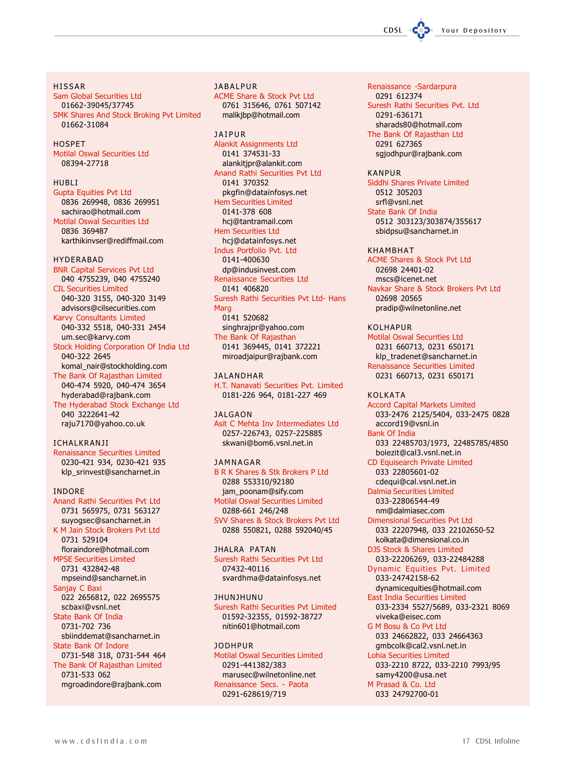**HISSAR** Sam Global Securities Ltd 01662-39045/37745 SMK Shares And Stock Broking Pvt Limited 01662-31084

HOSPET **Motilal Oswal Securities Ltd** 08394-27718

#### **HUBLI**

**Gupta Equities Pvt Ltd** 0836 269948, 0836 269951 sachirao@hotmail.com **Motilal Oswal Securities Ltd** 0836 369487 karthikinvser@rediffmail.com

HYDERABAD

**BNR Capital Services Pvt Ltd** 040 4755239, 040 4755240 **CIL Securities Limited** 040-320 3155, 040-320 3149 advisors@cilsecurities.com **Karvy Consultants Limited** 040-332 5518, 040-331 2454 um.sec@karvy.com Stock Holding Corporation Of India Ltd 040-322 2645 komal\_nair@stockholding.com The Bank Of Rajasthan Limited 040-474 5920, 040-474 3654 hyderabad@rajbank.com The Hyderabad Stock Exchange Ltd 040 3222641-42 raju7170@yahoo.co.uk

ICHALKRANJI **Renaissance Securities Limited** 0230-421 934, 0230-421 935 klp\_srinvest@sancharnet.in

**INDORE** Anand Rathi Securities Pvt Ltd 0731 565975, 0731 563127

suyogsec@sancharnet.in K M Jain Stock Brokers Pvt Ltd 0731 529104 floraindore@hotmail.com **MPSE Securities Limited** 0731 432842-48 mpseind@sancharnet.in Sanjay C Baxi 022 2656812, 022 2695575 scbaxi@vsnl.net State Bank Of India 0731-702 736 sbiinddemat@sancharnet.in State Bank Of Indore 0731-548 318, 0731-544 464 The Bank Of Rajasthan Limited 0731-533 062 mgroadindore@rajbank.com

**JABALPUR** ACME Share & Stock Pvt Ltd 0761 315646, 0761 507142 malikjbp@hotmail.com

**JAIPUR** Alankit Assignments Ltd 0141 374531-33 alankitjpr@alankit.com Anand Rathi Securities Pvt Ltd 0141 370352 pkgfin@datainfosys.net **Hem Securities Limited** 0141-378 608 hcj@tantramail.com **Hem Securities Ltd** hcj@datainfosys.net Indus Portfolio Pvt. Ltd 0141-400630 dp@indusinvest.com Renaissance Securities Ltd 0141 406820 Suresh Rathi Securities Pvt Ltd- Hans Marg 0141 520682 singhrajpr@yahoo.com The Bank Of Rajasthan 0141 369445, 0141 372221 miroadjaipur@rajbank.com

**JAI ANDHAR** H.T. Nanavati Securities Pvt. Limited 0181-226 964, 0181-227 469

**JALGAON** Asit C Mehta Inv Intermediates Ltd 0257-226743, 0257-225885 skwani@bom6.vsnl.net.in

**JAMNAGAR B R K Shares & Stk Brokers P Ltd** 0288 553310/92180 jam\_poonam@sify.com **Motilal Oswal Securities Limited** 0288-661 246/248 SVV Shares & Stock Brokers Pvt Ltd 0288 550821, 0288 592040/45

JHALRA PATAN Suresh Rathi Securities Pvt Ltd 07432-40116 svardhma@datainfosys.net

**IHUNIHUNU** Suresh Rathi Securities Pvt Limited 01592-32355, 01592-38727 nitin601@hotmail.com

**JODHPUR Motilal Oswal Securities Limited** 0291-441382/383 marusec@wilnetonline.net Renaissance Secs. - Paota 0291-628619/719

Renaissance -Sardarpura 0291 612374 Suresh Rathi Securities Pvt. Ltd 0291-636171 sharads80@hotmail.com The Bank Of Rajasthan Ltd 0291 627365 sgjodhpur@rajbank.com

Your Depository

CDSL

**KANPUR** Siddhi Shares Private Limited 0512 305203 srfl@vsnl.net State Bank Of India

0512 303123/303874/355617 sbidpsu@sancharnet.in

**KHAMBHAT ACME Shares & Stock Pvt Ltd** 02698 24401-02 mscs@icenet.net Navkar Share & Stock Brokers Pvt Ltd 02698 20565 pradip@wilnetonline.net

KOLHAPUR **Motilal Oswal Securities Ltd** 0231 660713, 0231 650171 klp\_tradenet@sancharnet.in **Renaissance Securities Limited** 0231 660713, 0231 650171

**KOLKATA Accord Capital Markets Limited** 033-2476 2125/5404, 033-2475 0828 accord19@vsnl.in **Bank Of India** 033 22485703/1973, 22485785/4850 boiezit@cal3.vsnl.net.in CD Equisearch Private Limited 033 22805601-02 cdequi@cal.vsnl.net.in **Dalmia Securities Limited** 033-22806544-49 nm@dalmiasec.com **Dimensional Securities Pvt Ltd** 033 22207948, 033 22102650-52 kolkata@dimensional.co.in DJS Stock & Shares Limited 033-22206269, 033-22484288 Dynamic Equities Pvt. Limited 033-24742158-62 dynamicequities@hotmail.com **East India Securities Limited** 033-2334 5527/5689, 033-2321 8069 viveka@eisec.com G M Bosu & Co Pvt Ltd 033 24662822, 033 24664363 gmbcolk@cal2.vsnl.net.in **Lohia Securities Limited** 033-2210 8722, 033-2210 7993/95 samy4200@usa.net M Prasad & Co. Ltd 033 24792700-01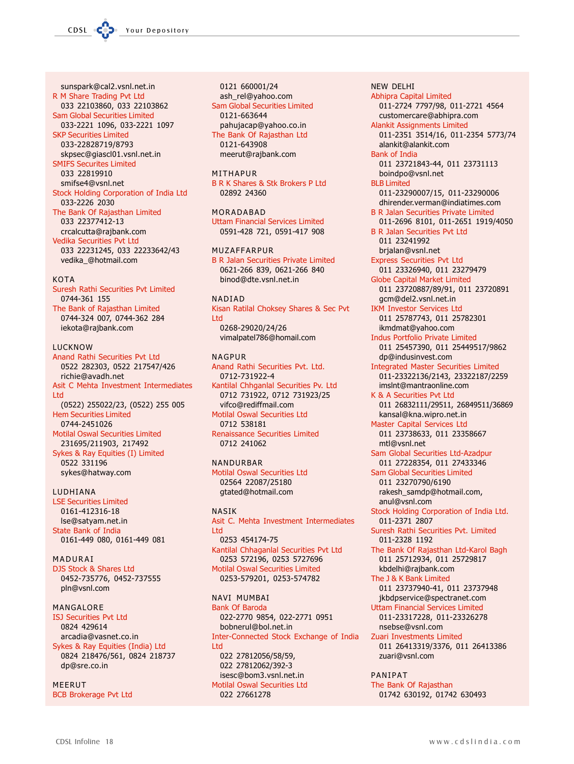sunspark@cal2.vsnl.net.in R M Share Trading Pvt Ltd 033 22103860, 033 22103862 **Sam Global Securities Limited** 033-2221 1096, 033-2221 1097 **SKP Securities Limited** 033-22828719/8793 skpsec@giascl01.vsnl.net.in **SMIFS Securites Limited** 033 22819910 smifse4@vsnl.net Stock Holding Corporation of India Ltd 033-2226 2030 The Bank Of Rajasthan Limited 033 22377412-13

crcalcutta@rajbank.com Vedika Securities Pvt Ltd 033 22231245, 033 22233642/43 vedika\_@hotmail.com

#### $K \cap T \Delta$

Suresh Rathi Securities Pvt Limited 0744-361 155 The Bank of Rajasthan Limited 0744-324 007, 0744-362 284 iekota@rajbank.com

## **IUCKNOW**

Anand Rathi Securities Pvt Ltd 0522 282303, 0522 217547/426 richie@avadh.net Asit C Mehta Investment Intermediates Ltd (0522) 255022/23, (0522) 255 005 **Hem Securities Limited** 0744-2451026 **Motilal Oswal Securities Limited** 231695/211903, 217492 Sykes & Ray Equities (I) Limited 0522 331196 sykes@hatway.com

# LUDHIANA

**LSE Securities Limited** 0161-412316-18 Ise@satyam.net.in State Bank of India 0161-449 080, 0161-449 081

## MADURAI

DJS Stock & Shares Ltd 0452-735776, 0452-737555 pln@vsnl.com

## MANGALORE

**ISJ Securities Pvt Ltd** 0824 429614 arcadia@vasnet.co.in Sykes & Ray Equities (India) Ltd 0824 218476/561, 0824 218737 dp@sre.co.in

# MEERUT

**BCB Brokerage Pvt Ltd** 

0121 660001/24 ash\_rel@yahoo.com **Sam Global Securities Limited** 0121-663644 pahujacap@yahoo.co.in The Bank Of Rajasthan Ltd 0121-643908 meerut@rajbank.com

## MITHAPUR

**B R K Shares & Stk Brokers P Ltd** 02892 24360

MORADABAD **Uttam Financial Services Limited** 0591-428 721, 0591-417 908

## MUZAFFARPUR

**B R Jalan Securities Private Limited** 0621-266 839, 0621-266 840 binod@dte.vsnl.net.in

#### **NADIAD**

Kisan Ratilal Choksey Shares & Sec Pvt I td 0268-29020/24/26 vimalpatel786@homail.com

# **NAGPUR**

Anand Rathi Securities Pvt. Ltd. 0712-731922-4 Kantilal Chhganlal Securities Pv. Ltd 0712 731922, 0712 731923/25 vifco@rediffmail.com **Motilal Oswal Securities Ltd** 0712 538181 **Renaissance Securities Limited** 0712 241062

#### NANDURBAR **Motilal Oswal Securities Ltd** 02564 22087/25180

gtated@hotmail.com

## **NASIK**

Asit C. Mehta Investment Intermediates I td 0253 454174-75 Kantilal Chhaganlal Securities Pvt Ltd 0253 572196, 0253 5727696 **Motilal Oswal Securities Limited** 0253-579201, 0253-574782

## NAVI MUMBAI

**Bank Of Baroda** 022-2770 9854, 022-2771 0951 bobnerul@bol.net.in Inter-Connected Stock Exchange of India Ltd 022 27812056/58/59, 022 27812062/392-3 isesc@bom3.vsnl.net.in **Motilal Oswal Securities Ltd** 022 27661278

**Abhipra Capital Limited** 011-2724 7797/98, 011-2721 4564 customercare@abhipra.com **Alankit Assignments Limited** 011-2351 3514/16, 011-2354 5773/74 alankit@alankit.com **Bank of India** 011 23721843-44, 011 23731113 boindpo@vsnl.net **BI B Limited** 011-23290007/15, 011-23290006 dhirender.verman@indiatimes.com **B R Jalan Securities Private Limited** 011-2696 8101, 011-2651 1919/4050 **B R Jalan Securities Pvt Ltd** 011 23241992 brjalan@vsnl.net **Express Securities Pvt Ltd** 011 23326940, 011 23279479 **Globe Capital Market Limited** 011 23720887/89/91, 011 23720891 gcm@del2.vsnl.net.in **IKM Investor Services Ltd** 011 25787743, 011 25782301 ikmdmat@yahoo.com Indus Portfolio Private Limited 011 25457390, 011 25449517/9862 dp@indusinvest.com **Integrated Master Securities Limited** 011-23322136/2143, 23322187/2259 imslnt@mantraonline.com K & A Securities Pvt Ltd 011 26832111/29511, 26849511/36869 kansal@kna.wipro.net.in Master Capital Services Ltd 011 23738633, 011 23358667 mtl@vsnl.net Sam Global Securities Ltd-Azadpur 011 27228354, 011 27433346 Sam Global Securities Limited 011 23270790/6190 rakesh\_samdp@hotmail.com, anul@vsnl.com Stock Holding Corporation of India Ltd. 011-2371 2807 Suresh Rathi Securities Pvt. Limited 011-2328 1192 The Bank Of Rajasthan Ltd-Karol Bagh 011 25712934, 011 25729817 kbdelhi@rajbank.com The J & K Bank Limited 011 23737940-41, 011 23737948 jkbdpservice@spectranet.com **Uttam Financial Services Limited** 011-23317228, 011-23326278 nsebse@vsnl.com Zuari Investments Limited 011 26413319/3376, 011 26413386 zuari@vsnl.com PANIPAT

**NEW DELHI** 

The Bank Of Rajasthan 01742 630192, 01742 630493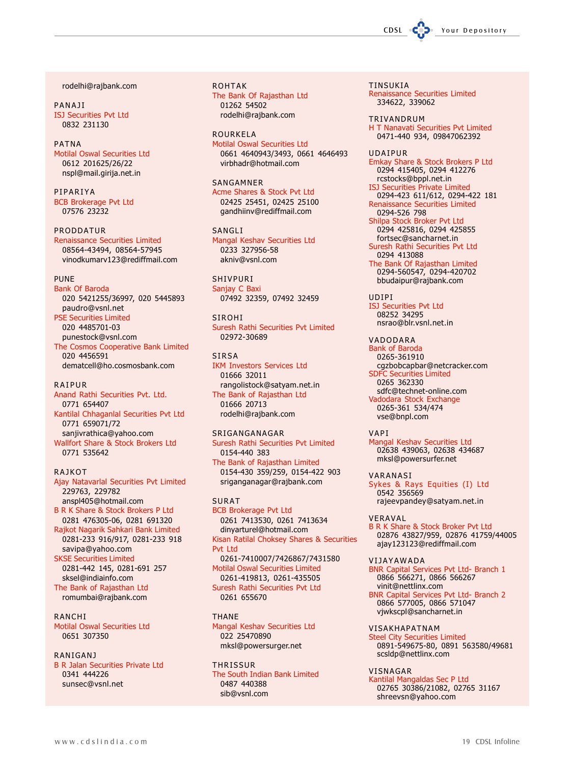rodelhi@rajbank.com

**PANA1I ISJ Securities Pvt Ltd** 0832 231130

## **PATNA**

**Motilal Oswal Securities Ltd** 0612 201625/26/22 nspl@mail.girija.net.in

PIPARIYA **BCB Brokerage Pvt Ltd** 07576 23232

**PRODDATUR Renaissance Securities Limited** 

08564-43494, 08564-57945 vinodkumarv123@rediffmail.com

#### PUNF

**Bank Of Baroda** 020 5421255/36997, 020 5445893 paudro@vsnl.net **PSE Securities Limited** 020 4485701-03 punestock@vsnl.com The Cosmos Cooperative Bank Limited 020 4456591 dematcell@ho.cosmosbank.com

#### **RAIPUR**

Anand Rathi Securities Pvt. Ltd. 0771 654407 Kantilal Chhaganlal Securities Pvt Ltd 0771 659071/72 sanjivrathica@yahoo.com Wallfort Share & Stock Brokers Ltd 0771 535642

## RAJKOT

Ajay Natavarlal Securities Pvt Limited 229763, 229782 anspl405@hotmail.com B R K Share & Stock Brokers P Ltd 0281 476305-06, 0281 691320 Rajkot Nagarik Sahkari Bank Limited 0281-233 916/917, 0281-233 918 savipa@yahoo.com **SKSE Securities Limited** 0281-442 145, 0281-691 257 sksel@indiainfo.com The Bank of Rajasthan Ltd romumbai@rajbank.com

RANCHI **Motilal Oswal Securities Ltd** 0651 307350

#### **RANIGANJ**

**B R Jalan Securities Private Ltd** 0341 444226 sunsec@vsnl.net

**ROHTAK** The Bank Of Rajasthan Ltd 01262 54502 rodelhi@rajbank.com

ROURKELA **Motilal Oswal Securities Ltd** 0661 4640943/3493, 0661 4646493 virbhadr@hotmail.com

#### SANGAMNER

Acme Shares & Stock Pvt Ltd 02425 25451, 02425 25100 qandhiinv@rediffmail.com

**SANGLI** Mangal Keshav Securities Ltd 0233 327956-58 akniv@vsnl.com

SHIVPURI Sanjay C Baxi 07492 32359, 07492 32459

**SIROHI** Suresh Rathi Securities Pvt Limited 02972-30689

**SIRSA IKM Investors Services Ltd** 01666 32011 rangolistock@satyam.net.in The Bank of Rajasthan Ltd 01666 20713 rodelhi@rajbank.com

#### SRIGANGANAGAR

Suresh Rathi Securities Pvt Limited 0154-440 383 The Bank of Rajasthan Limited 0154-430 359/259, 0154-422 903 sriganganagar@rajbank.com

**SURAT** 

**BCB Brokerage Pvt Ltd** 0261 7413530, 0261 7413634 dinyarturel@hotmail.com Kisan Ratilal Choksey Shares & Securities Pvt Itd 0261-7410007/7426867/7431580 **Motilal Oswal Securities Limited** 0261-419813, 0261-435505 Suresh Rathi Securities Pvt Ltd 0261 655670

**THANF** Mangal Keshav Securities Ltd 022 25470890 mksl@powersurger.net

THRISSUR The South Indian Bank Limited 0487 440388 sib@vsnl.com

**TINSUKIA** Renaissance Securities Limited<br>334622, 339062

CDSL

TRIVANDRUM H T Nanavati Securities Pvt Limited 0471-440 934, 09847062392

Your Depository

**UDAIPUR** Emkay Share & Stock Brokers P Ltd 0294 415405, 0294 412276 rcstocks@bppl.net.in ISJ Securities Private Limited 0294-423 611/612, 0294-422 181 **Renaissance Securities Limited** 0294-526 798 Shilpa Stock Broker Pvt Ltd 0294 425816, 0294 425855 fortsec@sancharnet.in

Suresh Rathi Securities Pvt Ltd 0294 413088 The Bank Of Rajasthan Limited 0294-560547, 0294-420702 bbudaipur@rajbank.com

UDIPI **ISJ Securities Pvt Ltd** 08252 34295 nsrao@blr.vsnl.net.in

VADODARA **Bank of Baroda** 0265-361910 cgzbobcapbar@netcracker.com **SDFC Securities Limited** 0265 362330 sdfc@technet-online.com Vadodara Stock Exchange 0265-361 534/474 vse@bnpl.com

VAPI

Mangal Keshav Securities Ltd 02638 439063, 02638 434687 mksl@powersurfer.net

VARANASI Sykes & Rays Equities (I) Ltd 0542 356569 rajeevpandey@satyam.net.in

VERAVAL **B R K Share & Stock Broker Pvt Ltd** 02876 43827/959, 02876 41759/44005 ajay123123@rediffmail.com

VIJAYAWADA BNR Capital Services Pvt Ltd- Branch 1<br>0866 566271, 0866 566267 vinit@nettlinx.com

BNR Capital Services Pvt Ltd- Branch 2 0866 577005, 0866 571047 viwkscpl@sancharnet.in

VISAKHAPATNAM **Steel City Securities Limited** 0891-549675-80, 0891 563580/49681 scsIdp@nettlinx.com

VISNAGAR Kantilal Mangaldas Sec P Ltd 02765 30386/21082, 02765 31167 shreevsn@yahoo.com